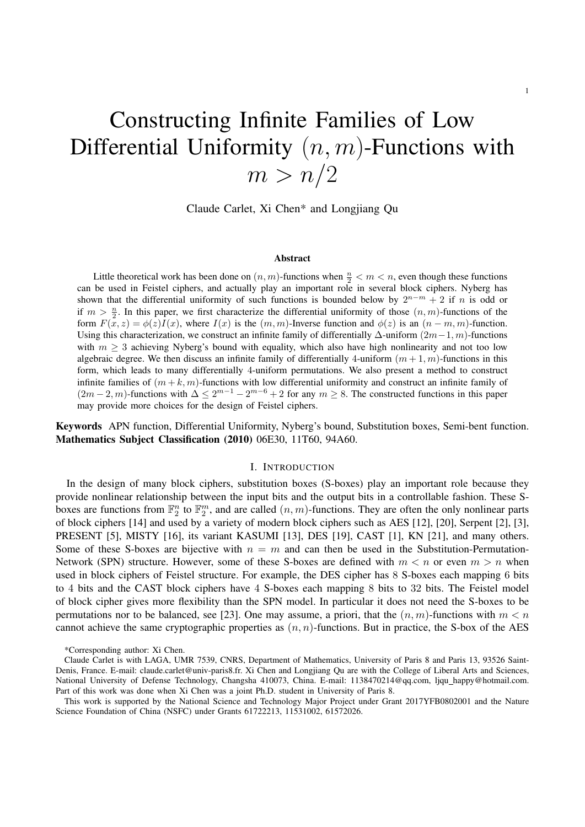# Constructing Infinite Families of Low Differential Uniformity  $(n, m)$ -Functions with  $m > n/2$

Claude Carlet, Xi Chen\* and Longjiang Qu

#### Abstract

Little theoretical work has been done on  $(n, m)$ -functions when  $\frac{n}{2} < m < n$ , even though these functions can be used in Feistel ciphers, and actually play an important role in several block ciphers. Nyberg has shown that the differential uniformity of such functions is bounded below by  $2^{n-m} + 2$  if n is odd or if  $m > \frac{n}{2}$ . In this paper, we first characterize the differential uniformity of those  $(n, m)$ -functions of the form  $F(x, z) = \phi(z)I(x)$ , where  $I(x)$  is the  $(m, m)$ -Inverse function and  $\phi(z)$  is an  $(n - m, m)$ -function. Using this characterization, we construct an infinite family of differentially  $\Delta$ -uniform  $(2m-1, m)$ -functions with  $m \geq 3$  achieving Nyberg's bound with equality, which also have high nonlinearity and not too low algebraic degree. We then discuss an infinite family of differentially 4-uniform  $(m+1, m)$ -functions in this form, which leads to many differentially 4-uniform permutations. We also present a method to construct infinite families of  $(m + k, m)$ -functions with low differential uniformity and construct an infinite family of  $(2m-2, m)$ -functions with  $\Delta \leq 2^{m-1} - 2^{m-6} + 2$  for any  $m \geq 8$ . The constructed functions in this paper may provide more choices for the design of Feistel ciphers.

Keywords APN function, Differential Uniformity, Nyberg's bound, Substitution boxes, Semi-bent function. Mathematics Subject Classification (2010) 06E30, 11T60, 94A60.

## I. INTRODUCTION

In the design of many block ciphers, substitution boxes (S-boxes) play an important role because they provide nonlinear relationship between the input bits and the output bits in a controllable fashion. These Sboxes are functions from  $\mathbb{F}_2^n$  to  $\mathbb{F}_2^m$ , and are called  $(n, m)$ -functions. They are often the only nonlinear parts of block ciphers [14] and used by a variety of modern block ciphers such as AES [12], [20], Serpent [2], [3], PRESENT [5], MISTY [16], its variant KASUMI [13], DES [19], CAST [1], KN [21], and many others. Some of these S-boxes are bijective with  $n = m$  and can then be used in the Substitution-Permutation-Network (SPN) structure. However, some of these S-boxes are defined with  $m < n$  or even  $m > n$  when used in block ciphers of Feistel structure. For example, the DES cipher has 8 S-boxes each mapping 6 bits to 4 bits and the CAST block ciphers have 4 S-boxes each mapping 8 bits to 32 bits. The Feistel model of block cipher gives more flexibility than the SPN model. In particular it does not need the S-boxes to be permutations nor to be balanced, see [23]. One may assume, a priori, that the  $(n, m)$ -functions with  $m < n$ cannot achieve the same cryptographic properties as  $(n, n)$ -functions. But in practice, the S-box of the AES

<sup>\*</sup>Corresponding author: Xi Chen.

Claude Carlet is with LAGA, UMR 7539, CNRS, Department of Mathematics, University of Paris 8 and Paris 13, 93526 Saint-Denis, France. E-mail: claude.carlet@univ-paris8.fr. Xi Chen and Longjiang Qu are with the College of Liberal Arts and Sciences, National University of Defense Technology, Changsha 410073, China. E-mail: 1138470214@qq.com, ljqu happy@hotmail.com. Part of this work was done when Xi Chen was a joint Ph.D. student in University of Paris 8.

This work is supported by the National Science and Technology Major Project under Grant 2017YFB0802001 and the Nature Science Foundation of China (NSFC) under Grants 61722213, 11531002, 61572026.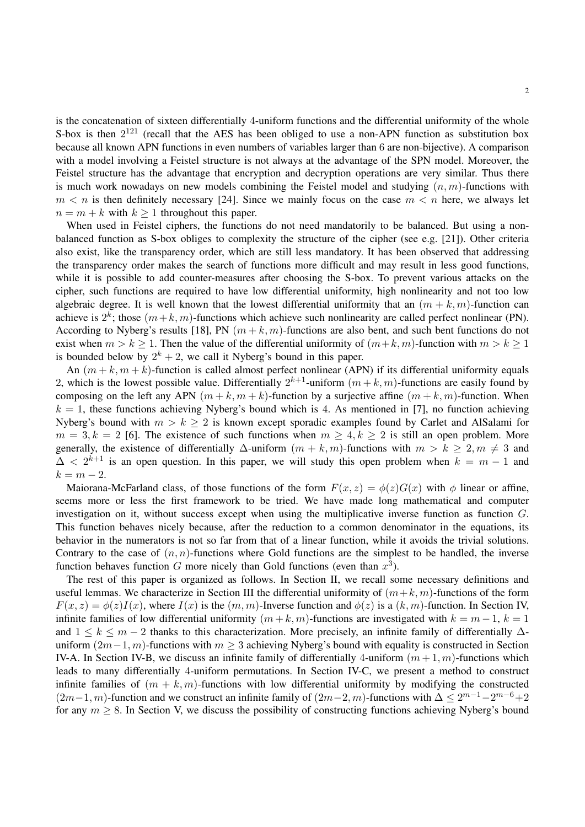is the concatenation of sixteen differentially 4-uniform functions and the differential uniformity of the whole S-box is then  $2^{121}$  (recall that the AES has been obliged to use a non-APN function as substitution box because all known APN functions in even numbers of variables larger than 6 are non-bijective). A comparison with a model involving a Feistel structure is not always at the advantage of the SPN model. Moreover, the Feistel structure has the advantage that encryption and decryption operations are very similar. Thus there is much work nowadays on new models combining the Feistel model and studying  $(n, m)$ -functions with  $m < n$  is then definitely necessary [24]. Since we mainly focus on the case  $m < n$  here, we always let  $n = m + k$  with  $k \ge 1$  throughout this paper.

When used in Feistel ciphers, the functions do not need mandatorily to be balanced. But using a nonbalanced function as S-box obliges to complexity the structure of the cipher (see e.g. [21]). Other criteria also exist, like the transparency order, which are still less mandatory. It has been observed that addressing the transparency order makes the search of functions more difficult and may result in less good functions, while it is possible to add counter-measures after choosing the S-box. To prevent various attacks on the cipher, such functions are required to have low differential uniformity, high nonlinearity and not too low algebraic degree. It is well known that the lowest differential uniformity that an  $(m + k, m)$ -function can achieve is  $2^k$ ; those  $(m+k, m)$ -functions which achieve such nonlinearity are called perfect nonlinear (PN). According to Nyberg's results [18], PN  $(m + k, m)$ -functions are also bent, and such bent functions do not exist when  $m > k > 1$ . Then the value of the differential uniformity of  $(m+k, m)$ -function with  $m > k > 1$ is bounded below by  $2^k + 2$ , we call it Nyberg's bound in this paper.

An  $(m + k, m + k)$ -function is called almost perfect nonlinear (APN) if its differential uniformity equals 2, which is the lowest possible value. Differentially  $2^{k+1}$ -uniform  $(m+k, m)$ -functions are easily found by composing on the left any APN  $(m + k, m + k)$ -function by a surjective affine  $(m + k, m)$ -function. When  $k = 1$ , these functions achieving Nyberg's bound which is 4. As mentioned in [7], no function achieving Nyberg's bound with  $m > k \ge 2$  is known except sporadic examples found by Carlet and AlSalami for  $m = 3, k = 2$  [6]. The existence of such functions when  $m \ge 4, k \ge 2$  is still an open problem. More generally, the existence of differentially  $\Delta$ -uniform  $(m + k, m)$ -functions with  $m > k \ge 2, m \ne 3$  and  $\Delta < 2^{k+1}$  is an open question. In this paper, we will study this open problem when  $k = m - 1$  and  $k = m - 2.$ 

Maiorana-McFarland class, of those functions of the form  $F(x, z) = \phi(z)G(x)$  with  $\phi$  linear or affine, seems more or less the first framework to be tried. We have made long mathematical and computer investigation on it, without success except when using the multiplicative inverse function as function G. This function behaves nicely because, after the reduction to a common denominator in the equations, its behavior in the numerators is not so far from that of a linear function, while it avoids the trivial solutions. Contrary to the case of  $(n, n)$ -functions where Gold functions are the simplest to be handled, the inverse function behaves function G more nicely than Gold functions (even than  $x^3$ ).

The rest of this paper is organized as follows. In Section II, we recall some necessary definitions and useful lemmas. We characterize in Section III the differential uniformity of  $(m+k, m)$ -functions of the form  $F(x, z) = \phi(z)I(x)$ , where  $I(x)$  is the  $(m, m)$ -Inverse function and  $\phi(z)$  is a  $(k, m)$ -function. In Section IV, infinite families of low differential uniformity  $(m + k, m)$ -functions are investigated with  $k = m - 1$ ,  $k = 1$ and  $1 \leq k \leq m-2$  thanks to this characterization. More precisely, an infinite family of differentially  $\Delta$ uniform  $(2m-1, m)$ -functions with  $m \geq 3$  achieving Nyberg's bound with equality is constructed in Section IV-A. In Section IV-B, we discuss an infinite family of differentially 4-uniform  $(m+1, m)$ -functions which leads to many differentially 4-uniform permutations. In Section IV-C, we present a method to construct infinite families of  $(m + k, m)$ -functions with low differential uniformity by modifying the constructed  $(2m-1, m)$ -function and we construct an infinite family of  $(2m-2, m)$ -functions with  $\Delta \leq 2^{m-1}-2^{m-6}+2$ for any  $m \geq 8$ . In Section V, we discuss the possibility of constructing functions achieving Nyberg's bound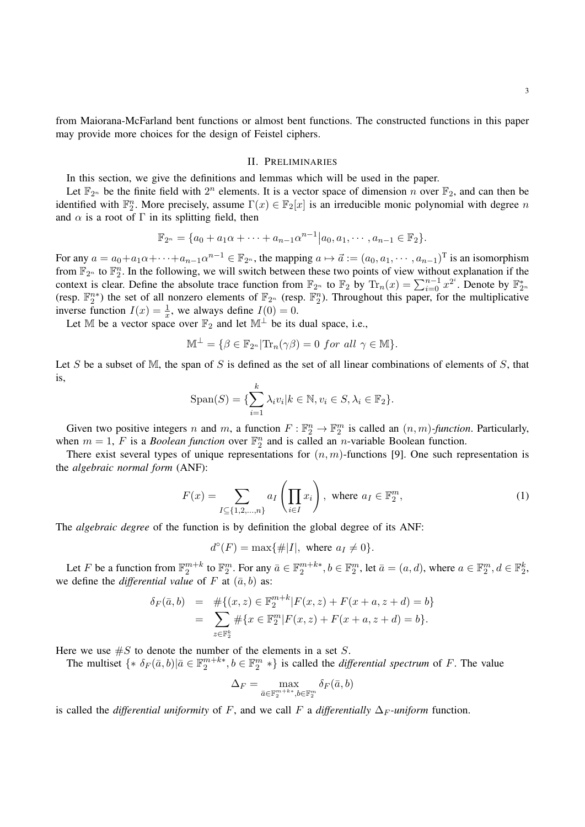from Maiorana-McFarland bent functions or almost bent functions. The constructed functions in this paper may provide more choices for the design of Feistel ciphers.

#### II. PRELIMINARIES

In this section, we give the definitions and lemmas which will be used in the paper.

Let  $\mathbb{F}_{2^n}$  be the finite field with  $2^n$  elements. It is a vector space of dimension n over  $\mathbb{F}_2$ , and can then be identified with  $\mathbb{F}_2^n$ . More precisely, assume  $\Gamma(x) \in \mathbb{F}_2[x]$  is an irreducible monic polynomial with degree n and  $\alpha$  is a root of  $\Gamma$  in its splitting field, then

$$
\mathbb{F}_{2^n} = \{a_0 + a_1\alpha + \cdots + a_{n-1}\alpha^{n-1} | a_0, a_1, \cdots, a_{n-1} \in \mathbb{F}_2\}.
$$

For any  $a = a_0 + a_1 \alpha + \cdots + a_{n-1} \alpha^{n-1} \in \mathbb{F}_{2^n}$ , the mapping  $a \mapsto \vec{a} := (a_0, a_1, \dots, a_{n-1})^T$  is an isomorphism from  $\mathbb{F}_{2^n}$  to  $\mathbb{F}_2^n$ . In the following, we will switch between these two points of view without explanation if the context is clear. Define the absolute trace function from  $\mathbb{F}_{2^n}$  to  $\mathbb{F}_2$  by  $\text{Tr}_n(x) = \sum_{i=0}^{n-1} x^{2^i}$ . Denote by  $\mathbb{F}_{2^n}^*$ (resp.  $\mathbb{F}_2^{n*}$ ) the set of all nonzero elements of  $\mathbb{F}_{2^n}$  (resp.  $\mathbb{F}_2^n$ ). Throughout this paper, for the multiplicative inverse function  $I(x) = \frac{1}{x}$ , we always define  $I(0) = 0$ .

Let M be a vector space over  $\mathbb{F}_2$  and let  $\mathbb{M}^{\perp}$  be its dual space, i.e.,

$$
\mathbb{M}^{\perp} = \{ \beta \in \mathbb{F}_{2^n} | \text{Tr}_n(\gamma \beta) = 0 \text{ for all } \gamma \in \mathbb{M} \}.
$$

Let S be a subset of M, the span of S is defined as the set of all linear combinations of elements of S, that is,

$$
\text{Span}(S) = \{ \sum_{i=1}^{k} \lambda_i v_i | k \in \mathbb{N}, v_i \in S, \lambda_i \in \mathbb{F}_2 \}.
$$

Given two positive integers n and m, a function  $F: \mathbb{F}_2^n \to \mathbb{F}_2^m$  is called an  $(n, m)$ -function. Particularly, when  $m = 1$ , F is a *Boolean function* over  $\mathbb{F}_2^n$  and is called an *n*-variable Boolean function.

There exist several types of unique representations for  $(n, m)$ -functions [9]. One such representation is the *algebraic normal form* (ANF):

$$
F(x) = \sum_{I \subseteq \{1, 2, \dots, n\}} a_I \left( \prod_{i \in I} x_i \right), \text{ where } a_I \in \mathbb{F}_2^m,
$$
 (1)

The *algebraic degree* of the function is by definition the global degree of its ANF:

$$
d^{\circ}(F) = \max\{\#|I|, \text{ where } a_I \neq 0\}.
$$

Let F be a function from  $\mathbb{F}_2^{m+k}$  to  $\mathbb{F}_2^m$ . For any  $\bar{a} \in \mathbb{F}_2^{m+k*}$ ,  $b \in \mathbb{F}_2^m$ , let  $\bar{a} = (a, d)$ , where  $a \in \mathbb{F}_2^m$ ,  $d \in \mathbb{F}_2^k$ , we define the *differential value* of F at  $(\bar{a}, b)$  as:

$$
\delta_F(\bar{a}, b) = #\{(x, z) \in \mathbb{F}_2^{m+k} | F(x, z) + F(x + a, z + d) = b\}
$$
  
= 
$$
\sum_{z \in \mathbb{F}_2^k} #\{x \in \mathbb{F}_2^m | F(x, z) + F(x + a, z + d) = b\}.
$$

Here we use  $\#S$  to denote the number of the elements in a set S.

The multiset  $\{ * \delta_F(\bar{a}, b) | \bar{a} \in \mathbb{F}_2^{m+k*}, b \in \mathbb{F}_2^m * \}$  is called the *differential spectrum* of F. The value

$$
\Delta_F = \max_{\bar{a} \in \mathbb{F}_2^{m+k*}, b \in \mathbb{F}_2^m} \delta_F(\bar{a}, b)
$$

is called the *differential uniformity* of F, and we call F a *differentially*  $\Delta_F$ *-uniform* function.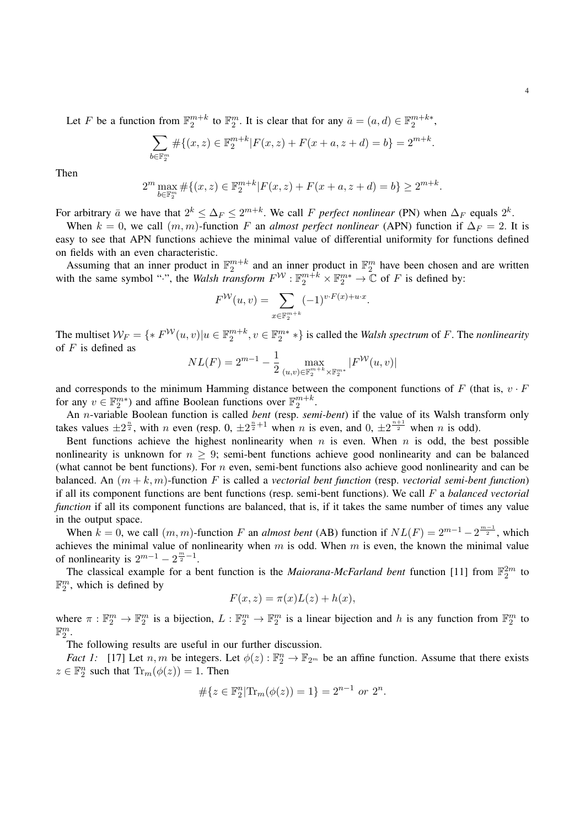Let F be a function from  $\mathbb{F}_2^{m+k}$  to  $\mathbb{F}_2^m$ . It is clear that for any  $\bar{a} = (a, d) \in \mathbb{F}_2^{m+k*}$ ,

$$
\sum_{b \in \mathbb{F}_2^m} \# \{ (x, z) \in \mathbb{F}_2^{m+k} | F(x, z) + F(x + a, z + d) = b \} = 2^{m+k}.
$$

Then

$$
2^m \max_{b \in \mathbb{F}_2^m} \# \{ (x, z) \in \mathbb{F}_2^{m+k} | F(x, z) + F(x + a, z + d) = b \} \ge 2^{m+k}.
$$

For arbitrary  $\bar{a}$  we have that  $2^k \leq \Delta_F \leq 2^{m+k}$ . We call F *perfect nonlinear* (PN) when  $\Delta_F$  equals  $2^k$ .

When  $k = 0$ , we call  $(m, m)$ -function F an *almost perfect nonlinear* (APN) function if  $\Delta_F = 2$ . It is easy to see that APN functions achieve the minimal value of differential uniformity for functions defined on fields with an even characteristic.

Assuming that an inner product in  $\mathbb{F}_2^{m+k}$  and an inner product in  $\mathbb{F}_2^m$  have been chosen and are written with the same symbol ".", the *Walsh transform*  $F^{\mathcal{W}}$ :  $\mathbb{F}_2^{m+k} \times \mathbb{F}_2^{m*} \to \mathbb{C}$  of F is defined by:

$$
F^{W}(u,v) = \sum_{x \in \mathbb{F}_2^{m+k}} (-1)^{v \cdot F(x) + u \cdot x}.
$$

The multiset  $W_F = \{ * F^{\mathcal{W}}(u, v) | u \in \mathbb{F}_2^{m+k}, v \in \mathbb{F}_2^{m*} * \}$  is called the *Walsh spectrum* of F. The *nonlinearity* of  $F$  is defined as

$$
NL(F) = 2^{m-1} - \frac{1}{2} \max_{(u,v) \in \mathbb{F}_2^{m+k} \times \mathbb{F}_2^{m*}} |F^{\mathcal{W}}(u,v)|
$$

and corresponds to the minimum Hamming distance between the component functions of F (that is,  $v \cdot F$ ) for any  $v \in \mathbb{F}_2^{m*}$ ) and affine Boolean functions over  $\mathbb{F}_2^{m+k}$ .

An n-variable Boolean function is called *bent* (resp. *semi-bent*) if the value of its Walsh transform only takes values  $\pm 2^{\frac{n}{2}}$ , with n even (resp. 0,  $\pm 2^{\frac{n}{2}+1}$  when n is even, and 0,  $\pm 2^{\frac{n+1}{2}}$  when n is odd).

Bent functions achieve the highest nonlinearity when  $n$  is even. When  $n$  is odd, the best possible nonlinearity is unknown for  $n > 9$ ; semi-bent functions achieve good nonlinearity and can be balanced (what cannot be bent functions). For  $n$  even, semi-bent functions also achieve good nonlinearity and can be balanced. An (m + k, m)-function F is called a *vectorial bent function* (resp. *vectorial semi-bent function*) if all its component functions are bent functions (resp. semi-bent functions). We call F a *balanced vectorial function* if all its component functions are balanced, that is, if it takes the same number of times any value in the output space.

When  $k = 0$ , we call  $(m, m)$ -function F an *almost bent* (AB) function if  $NL(F) = 2^{m-1} - 2^{\frac{m-1}{2}}$ , which achieves the minimal value of nonlinearity when  $m$  is odd. When  $m$  is even, the known the minimal value of nonlinearity is  $2^{m-1} - 2^{\frac{m}{2}-1}$ .

The classical example for a bent function is the *Maiorana-McFarland bent* function [11] from  $\mathbb{F}_2^{2m}$  to  $\mathbb{F}_2^m$ , which is defined by

$$
F(x, z) = \pi(x)L(z) + h(x),
$$

where  $\pi : \mathbb{F}_2^m \to \mathbb{F}_2^m$  is a bijection,  $L : \mathbb{F}_2^m \to \mathbb{F}_2^m$  is a linear bijection and h is any function from  $\mathbb{F}_2^m$  to  $\mathbb{F}_2^m$ .

The following results are useful in our further discussion.

*Fact 1:* [17] Let  $n, m$  be integers. Let  $\phi(z)$ :  $\mathbb{F}_2^n \to \mathbb{F}_{2^m}$  be an affine function. Assume that there exists  $z \in \mathbb{F}_2^n$  such that  $\text{Tr}_m(\phi(z)) = 1$ . Then

$$
\#\{z \in \mathbb{F}_2^n | \text{Tr}_m(\phi(z)) = 1\} = 2^{n-1} \text{ or } 2^n.
$$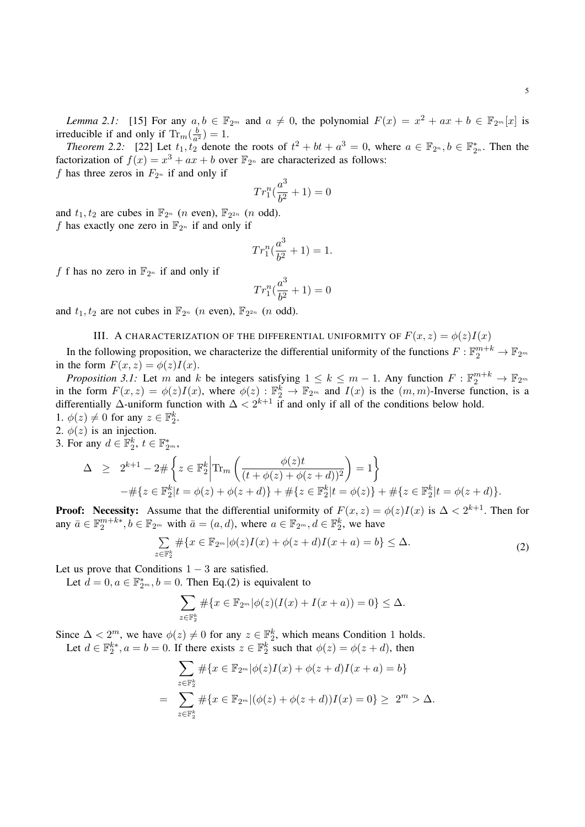5

*Lemma 2.1:* [15] For any  $a, b \in \mathbb{F}_{2^m}$  and  $a \neq 0$ , the polynomial  $F(x) = x^2 + ax + b \in \mathbb{F}_{2^m}[x]$  is irreducible if and only if  $\text{Tr}_m(\frac{b}{a^2})$  $\frac{b}{a^2}$ ) = 1.

*Theorem 2.2:* [22] Let  $t_1, t_2$  denote the roots of  $t^2 + bt + a^3 = 0$ , where  $a \in \mathbb{F}_{2^n}, b \in \mathbb{F}_{2^n}^*$ . Then the factorization of  $f(x) = x^3 + ax + b$  over  $\mathbb{F}_{2^n}$  are characterized as follows:

f has three zeros in  $F_{2^n}$  if and only if

$$
Tr_1^n(\frac{a^3}{b^2} + 1) = 0
$$

and  $t_1, t_2$  are cubes in  $\mathbb{F}_{2^n}$  (*n* even),  $\mathbb{F}_{2^{2n}}$  (*n* odd). f has exactly one zero in  $\mathbb{F}_{2^n}$  if and only if

$$
Tr_1^n(\frac{a^3}{b^2} + 1) = 1.
$$

f f has no zero in  $\mathbb{F}_{2^n}$  if and only if

$$
Tr_1^n(\frac{a^3}{b^2} + 1) = 0
$$

and  $t_1, t_2$  are not cubes in  $\mathbb{F}_{2^n}$  (*n* even),  $\mathbb{F}_{2^{2n}}$  (*n* odd).

### III. A CHARACTERIZATION OF THE DIFFERENTIAL UNIFORMITY OF  $F(x, z) = \phi(z)I(x)$

In the following proposition, we characterize the differential uniformity of the functions  $F: \mathbb{F}_2^{m+k} \to \mathbb{F}_{2^m}$ in the form  $F(x, z) = \phi(z)I(x)$ .

*Proposition 3.1:* Let m and k be integers satisfying  $1 \le k \le m - 1$ . Any function  $F: \mathbb{F}_2^{m+k} \to \mathbb{F}_{2^m}$ in the form  $F(x, z) = \phi(z)I(x)$ , where  $\phi(z) : \mathbb{F}_2^k \to \mathbb{F}_{2^m}$  and  $I(x)$  is the  $(m, m)$ -Inverse function, is a differentially  $\Delta$ -uniform function with  $\Delta < 2^{k+1}$  if and only if all of the conditions below hold. 1.  $\phi(z) \neq 0$  for any  $z \in \mathbb{F}_2^k$ .

- 2.  $\phi(z)$  is an injection.
- 3. For any  $d \in \mathbb{F}_2^k$ ,  $t \in \mathbb{F}_{2^m}^*$ ,

$$
\Delta \geq 2^{k+1} - 2 \# \left\{ z \in \mathbb{F}_2^k \middle| \text{Tr}_m \left( \frac{\phi(z)t}{(t + \phi(z) + \phi(z+d))^2} \right) = 1 \right\} \n- \# \{ z \in \mathbb{F}_2^k | t = \phi(z) + \phi(z+d) \} + \# \{ z \in \mathbb{F}_2^k | t = \phi(z) \} + \# \{ z \in \mathbb{F}_2^k | t = \phi(z+d) \}.
$$

**Proof:** Necessity: Assume that the differential uniformity of  $F(x, z) = \phi(z)I(x)$  is  $\Delta < 2^{k+1}$ . Then for any  $\bar{a} \in \mathbb{F}_2^{m+k*}, b \in \mathbb{F}_{2^m}$  with  $\bar{a} = (a, d)$ , where  $a \in \mathbb{F}_{2^m}, d \in \mathbb{F}_2^k$ , we have

$$
\sum_{x \in \mathbb{F}_2^k} \# \{ x \in \mathbb{F}_{2^m} | \phi(z)I(x) + \phi(z+d)I(x+a) = b \} \leq \Delta.
$$
 (2)

Let us prove that Conditions  $1 - 3$  are satisfied.

z<sub>z</sub>

Let  $d = 0, a \in \mathbb{F}_{2^m}^*, b = 0$ . Then Eq.(2) is equivalent to

$$
\sum_{z \in \mathbb{F}_2^k} \# \{ x \in \mathbb{F}_{2^m} | \phi(z)(I(x) + I(x + a)) = 0 \} \le \Delta.
$$

Since  $\Delta < 2^m$ , we have  $\phi(z) \neq 0$  for any  $z \in \mathbb{F}_2^k$ , which means Condition 1 holds. Let  $d \in \mathbb{F}_2^{k*}, a = b = 0$ . If there exists  $z \in \mathbb{F}_2^k$  such that  $\phi(z) = \phi(z + d)$ , then

$$
\sum_{z \in \mathbb{F}_2^k} \# \{ x \in \mathbb{F}_{2^m} | \phi(z)I(x) + \phi(z+d)I(x+a) = b \}
$$
  
= 
$$
\sum_{z \in \mathbb{F}_2^k} \# \{ x \in \mathbb{F}_{2^m} | (\phi(z) + \phi(z+d))I(x) = 0 \} \ge 2^m > \Delta.
$$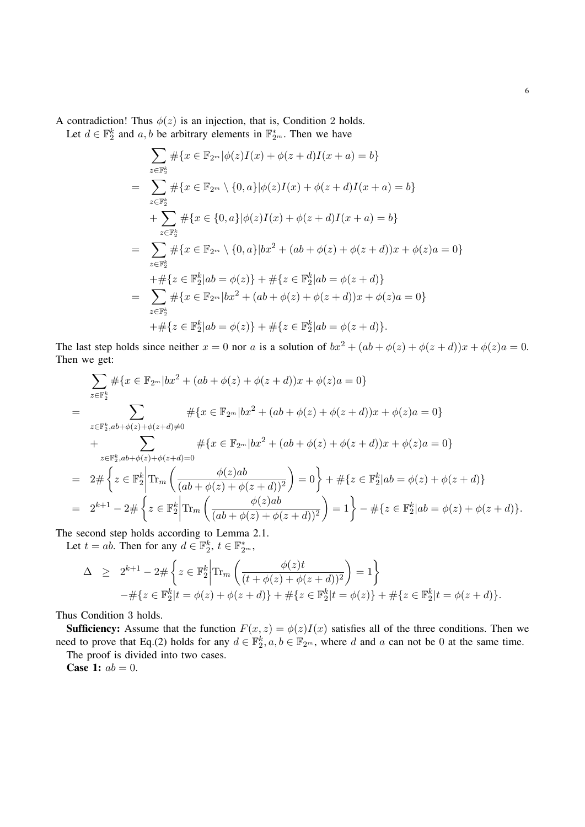A contradiction! Thus  $\phi(z)$  is an injection, that is, Condition 2 holds.

Let  $d \in \mathbb{F}_2^k$  and  $a, b$  be arbitrary elements in  $\mathbb{F}_{2^m}^*$ . Then we have

$$
\sum_{z \in \mathbb{F}_2^k} \# \{ x \in \mathbb{F}_{2^m} | \phi(z)I(x) + \phi(z+d)I(x+a) = b \}
$$
\n
$$
= \sum_{z \in \mathbb{F}_2^k} \# \{ x \in \mathbb{F}_{2^m} \setminus \{ 0, a \} | \phi(z)I(x) + \phi(z+d)I(x+a) = b \}
$$
\n
$$
+ \sum_{z \in \mathbb{F}_2^k} \# \{ x \in \{ 0, a \} | \phi(z)I(x) + \phi(z+d)I(x+a) = b \}
$$
\n
$$
= \sum_{z \in \mathbb{F}_2^k} \# \{ x \in \mathbb{F}_{2^m} \setminus \{ 0, a \} | bx^2 + (ab + \phi(z) + \phi(z+d))x + \phi(z)a = 0 \}
$$
\n
$$
+ \# \{ z \in \mathbb{F}_2^k | ab = \phi(z) \} + \# \{ z \in \mathbb{F}_2^k | ab = \phi(z+d) \}
$$
\n
$$
= \sum_{z \in \mathbb{F}_2^k} \# \{ x \in \mathbb{F}_{2^m} | bx^2 + (ab + \phi(z) + \phi(z+d))x + \phi(z)a = 0 \}
$$
\n
$$
+ \# \{ z \in \mathbb{F}_2^k | ab = \phi(z) \} + \# \{ z \in \mathbb{F}_2^k | ab = \phi(z+d) \}.
$$

The last step holds since neither  $x = 0$  nor a is a solution of  $bx^2 + (ab + \phi(z) + \phi(z + d))x + \phi(z)a = 0$ . Then we get:

$$
\sum_{z \in \mathbb{F}_2^k} \# \{ x \in \mathbb{F}_{2^m} | bx^2 + (ab + \phi(z) + \phi(z + d))x + \phi(z)a = 0 \}
$$
\n
$$
= \sum_{z \in \mathbb{F}_2^k, ab + \phi(z) + \phi(z + d) \neq 0} \# \{ x \in \mathbb{F}_{2^m} | bx^2 + (ab + \phi(z) + \phi(z + d))x + \phi(z)a = 0 \}
$$
\n
$$
+ \sum_{z \in \mathbb{F}_2^k, ab + \phi(z) + \phi(z + d) = 0} \# \{ x \in \mathbb{F}_{2^m} | bx^2 + (ab + \phi(z) + \phi(z + d))x + \phi(z)a = 0 \}
$$
\n
$$
= 2 \# \left\{ z \in \mathbb{F}_2^k \middle| \text{Tr}_m \left( \frac{\phi(z)ab}{(ab + \phi(z) + \phi(z + d))^2} \right) = 0 \right\} + \# \{ z \in \mathbb{F}_2^k | ab = \phi(z) + \phi(z + d) \}
$$
\n
$$
= 2^{k+1} - 2 \# \left\{ z \in \mathbb{F}_2^k \middle| \text{Tr}_m \left( \frac{\phi(z)ab}{(ab + \phi(z) + \phi(z + d))^2} \right) = 1 \right\} - \# \{ z \in \mathbb{F}_2^k | ab = \phi(z) + \phi(z + d) \}.
$$

The second step holds according to Lemma 2.1.

Let  $t = ab$ . Then for any  $d \in \mathbb{F}_2^k$ ,  $t \in \mathbb{F}_{2^m}^*$ ,

$$
\Delta \geq 2^{k+1} - 2 \# \left\{ z \in \mathbb{F}_2^k \middle| \text{Tr}_m \left( \frac{\phi(z)t}{(t + \phi(z) + \phi(z+d))^2} \right) = 1 \right\} \n- \# \{ z \in \mathbb{F}_2^k | t = \phi(z) + \phi(z+d) \} + \# \{ z \in \mathbb{F}_2^k | t = \phi(z) \} + \# \{ z \in \mathbb{F}_2^k | t = \phi(z+d) \}.
$$

Thus Condition 3 holds.

**Sufficiency:** Assume that the function  $F(x, z) = \phi(z)I(x)$  satisfies all of the three conditions. Then we need to prove that Eq.(2) holds for any  $d \in \mathbb{F}_2^k$ ,  $a, b \in \mathbb{F}_{2^m}$ , where d and a can not be 0 at the same time.

The proof is divided into two cases.

**Case 1:**  $ab = 0$ .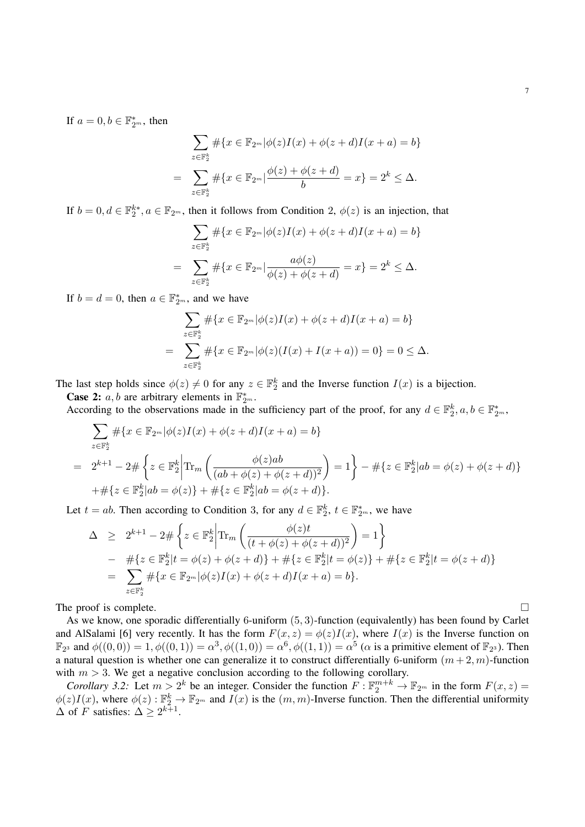If  $a = 0, b \in \mathbb{F}_{2^m}^*$ , then

$$
\sum_{z \in \mathbb{F}_2^k} \# \{ x \in \mathbb{F}_{2^m} | \phi(z)I(x) + \phi(z+d)I(x+a) = b \}
$$
  
= 
$$
\sum_{z \in \mathbb{F}_2^k} \# \{ x \in \mathbb{F}_{2^m} | \frac{\phi(z) + \phi(z+d)}{b} = x \} = 2^k \le \Delta.
$$

If  $b = 0, d \in \mathbb{F}_2^{k*}, a \in \mathbb{F}_{2^m}$ , then it follows from Condition 2,  $\phi(z)$  is an injection, that

$$
\sum_{z \in \mathbb{F}_2^k} \# \{ x \in \mathbb{F}_{2^m} | \phi(z)I(x) + \phi(z+d)I(x+a) = b \}
$$
  
= 
$$
\sum_{z \in \mathbb{F}_2^k} \# \{ x \in \mathbb{F}_{2^m} | \frac{a\phi(z)}{\phi(z) + \phi(z+d)} = x \} = 2^k \le \Delta.
$$

If  $b = d = 0$ , then  $a \in \mathbb{F}_{2^m}^*$ , and we have

$$
\sum_{z \in \mathbb{F}_2^k} \# \{ x \in \mathbb{F}_{2^m} | \phi(z)I(x) + \phi(z+d)I(x+a) = b \}
$$
  
= 
$$
\sum_{z \in \mathbb{F}_2^k} \# \{ x \in \mathbb{F}_{2^m} | \phi(z)(I(x) + I(x+a)) = 0 \} = 0 \le \Delta.
$$

The last step holds since  $\phi(z) \neq 0$  for any  $z \in \mathbb{F}_2^k$  and the Inverse function  $I(x)$  is a bijection.

**Case 2:**  $\overline{a}$ ,  $\overline{b}$  are arbitrary elements in  $\mathbb{F}_{2^m}^*$ .

According to the observations made in the sufficiency part of the proof, for any  $d \in \mathbb{F}_2^k$ ,  $a, b \in \mathbb{F}_{2^m}^*$ ,

$$
\sum_{z \in \mathbb{F}_2^k} \# \{ x \in \mathbb{F}_{2^m} | \phi(z)I(x) + \phi(z+d)I(x+a) = b \}
$$
\n
$$
= 2^{k+1} - 2 \# \left\{ z \in \mathbb{F}_2^k \middle| \text{Tr}_m \left( \frac{\phi(z)ab}{(ab + \phi(z) + \phi(z+d))^2} \right) = 1 \right\} - \# \{ z \in \mathbb{F}_2^k | ab = \phi(z) + \phi(z+d) \}
$$
\n
$$
+ \# \{ z \in \mathbb{F}_2^k | ab = \phi(z) \} + \# \{ z \in \mathbb{F}_2^k | ab = \phi(z+d) \}.
$$

Let  $t = ab$ . Then according to Condition 3, for any  $d \in \mathbb{F}_2^k$ ,  $t \in \mathbb{F}_{2^m}^*$ , we have

$$
\Delta \geq 2^{k+1} - 2 \# \left\{ z \in \mathbb{F}_2^k \middle| \text{Tr}_m \left( \frac{\phi(z)t}{(t + \phi(z) + \phi(z+d))^2} \right) = 1 \right\} \n- \# \{ z \in \mathbb{F}_2^k | t = \phi(z) + \phi(z+d) \} + \# \{ z \in \mathbb{F}_2^k | t = \phi(z) \} + \# \{ z \in \mathbb{F}_2^k | t = \phi(z+d) \} \n= \sum_{z \in \mathbb{F}_2^k} \# \{ x \in \mathbb{F}_{2^m} | \phi(z)I(x) + \phi(z+d)I(x+a) = b \}.
$$

The proof is complete.  $\Box$ 

As we know, one sporadic differentially 6-uniform (5, 3)-function (equivalently) has been found by Carlet and AlSalami [6] very recently. It has the form  $F(x, z) = \phi(z)I(x)$ , where  $I(x)$  is the Inverse function on  $\mathbb{F}_{2^3}$  and  $\phi((0,0)) = 1, \phi((0,1)) = \alpha^3, \phi((1,0)) = \alpha^6, \phi((1,1)) = \alpha^5$  ( $\alpha$  is a primitive element of  $\mathbb{F}_{2^3}$ ). Then a natural question is whether one can generalize it to construct differentially 6-uniform  $(m+2, m)$ -function with  $m > 3$ . We get a negative conclusion according to the following corollary.

*Corollary 3.2:* Let  $m > 2^k$  be an integer. Consider the function  $F : \mathbb{F}_2^{m+k} \to \mathbb{F}_{2^m}$  in the form  $F(x, z) =$  $\phi(z)I(x)$ , where  $\phi(z): \mathbb{F}_2^k \to \mathbb{F}_{2^m}$  and  $I(x)$  is the  $(m, m)$ -Inverse function. Then the differential uniformity  $\Delta$  of F satisfies:  $\Delta \geq 2^{k+1}$ .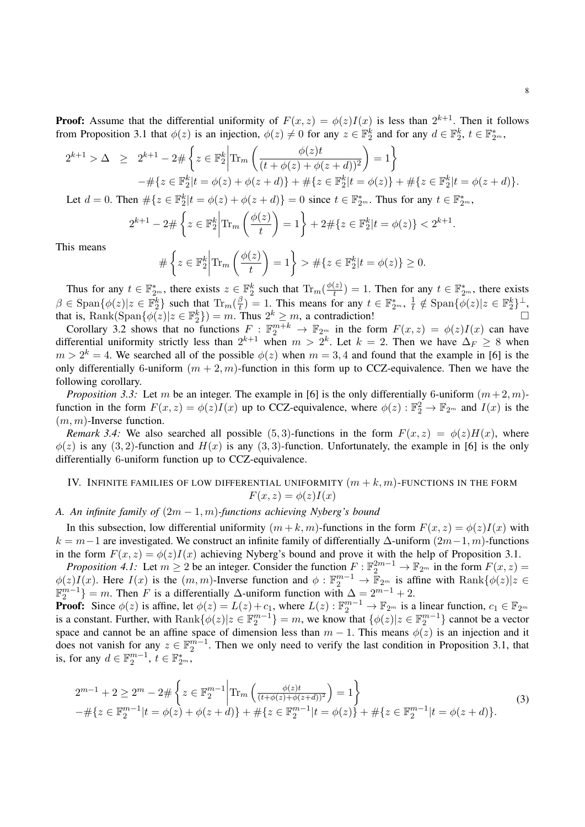**Proof:** Assume that the differential uniformity of  $F(x, z) = \phi(z)I(x)$  is less than  $2^{k+1}$ . Then it follows from Proposition 3.1 that  $\phi(z)$  is an injection,  $\phi(z) \neq 0$  for any  $z \in \mathbb{F}_2^k$  and for any  $d \in \mathbb{F}_2^k$ ,  $t \in \mathbb{F}_{2^m}^*$ ,

$$
2^{k+1} > \Delta \ge 2^{k+1} - 2 \# \left\{ z \in \mathbb{F}_2^k \middle| \text{Tr}_m \left( \frac{\phi(z)t}{(t + \phi(z) + \phi(z+d))^2} \right) = 1 \right\}
$$
  
 
$$
- \# \{ z \in \mathbb{F}_2^k | t = \phi(z) + \phi(z+d) \} + \# \{ z \in \mathbb{F}_2^k | t = \phi(z) \} + \# \{ z \in \mathbb{F}_2^k | t = \phi(z+d) \}.
$$

Let  $d = 0$ . Then  $\#\{z \in \mathbb{F}_2^k | t = \phi(z) + \phi(z+d)\} = 0$  since  $t \in \mathbb{F}_{2^m}^*$ . Thus for any  $t \in \mathbb{F}_{2^m}^*$ ,

$$
2^{k+1} - 2 \# \left\{ z \in \mathbb{F}_2^k \middle| \text{Tr}_m \left( \frac{\phi(z)}{t} \right) = 1 \right\} + 2 \# \{ z \in \mathbb{F}_2^k | t = \phi(z) \} < 2^{k+1}.
$$

This means

$$
\#\left\{z\in \mathbb{F}_2^k \middle| \text{Tr}_m\left(\frac{\phi(z)}{t}\right) = 1\right\} > \#\{z\in \mathbb{F}_2^k | t = \phi(z)\} \ge 0.
$$

Thus for any  $t \in \mathbb{F}_{2^m}^*$ , there exists  $z \in \mathbb{F}_2^k$  such that  $\text{Tr}_m(\frac{\phi(z)}{t})$  $\left(\frac{z}{t}\right) = 1$ . Then for any  $t \in \mathbb{F}_{2^m}^*$ , there exists  $\beta \in \text{Span}\{\phi(z)|z \in \mathbb{F}_2^k\}$  such that  $\text{Tr}_m(\frac{\beta}{t})$  $\left(\frac{\beta}{t}\right) = 1$ . This means for any  $t \in \mathbb{F}_{2^m}^*$ ,  $\frac{1}{t}$  $\frac{1}{t} \notin \text{Span}\{\phi(z)|z \in \mathbb{F}_2^k\}^{\perp},$ that is, Rank(Span $\{\phi(z)|z \in \mathbb{F}_2^k\}$ ) = m. Thus  $2^k \ge m$ , a contradiction!

Corollary 3.2 shows that no functions  $F : \mathbb{F}_2^{m+k} \to \mathbb{F}_{2^m}$  in the form  $F(x, z) = \phi(z)I(x)$  can have differential uniformity strictly less than  $2^{k+1}$  when  $m > 2^k$ . Let  $k = 2$ . Then we have  $\Delta_F \ge 8$  when  $m > 2<sup>k</sup> = 4$ . We searched all of the possible  $\phi(z)$  when  $m = 3, 4$  and found that the example in [6] is the only differentially 6-uniform  $(m + 2, m)$ -function in this form up to CCZ-equivalence. Then we have the following corollary.

*Proposition 3.3:* Let m be an integer. The example in [6] is the only differentially 6-uniform  $(m+2, m)$ function in the form  $F(x, z) = \phi(z)I(x)$  up to CCZ-equivalence, where  $\phi(z) : \mathbb{F}_2^2 \to \mathbb{F}_{2^m}$  and  $I(x)$  is the  $(m, m)$ -Inverse function.

*Remark 3.4:* We also searched all possible (5,3)-functions in the form  $F(x, z) = \phi(z)H(x)$ , where  $\phi(z)$  is any (3, 2)-function and  $H(x)$  is any (3, 3)-function. Unfortunately, the example in [6] is the only differentially 6-uniform function up to CCZ-equivalence.

# IV. INFINITE FAMILIES OF LOW DIFFERENTIAL UNIFORMITY  $(m + k, m)$ -FUNCTIONS IN THE FORM  $F(x, z) = \phi(z)I(x)$

# *A. An infinite family of* (2m − 1, m)*-functions achieving Nyberg's bound*

In this subsection, low differential uniformity  $(m + k, m)$ -functions in the form  $F(x, z) = \phi(z)I(x)$  with  $k = m-1$  are investigated. We construct an infinite family of differentially  $\Delta$ -uniform  $(2m-1, m)$ -functions in the form  $F(x, z) = \phi(z)I(x)$  achieving Nyberg's bound and prove it with the help of Proposition 3.1.

*Proposition 4.1:* Let  $m \ge 2$  be an integer. Consider the function  $F : \mathbb{F}_2^{2m-1} \to \mathbb{F}_{2m}$  in the form  $F(x, z) =$  $\phi(z)I(x)$ . Here  $I(x)$  is the  $(m, m)$ -Inverse function and  $\phi: \mathbb{F}_2^{m-1} \to \mathbb{F}_{2^m}$  is affine with  $\text{Rank}\{\phi(z)|z \in \mathbb{F}_2^{m-1}}$  $\mathbb{F}_2^{m-1}$ } = m. Then F is a differentially  $\Delta$ -uniform function with  $\Delta = 2^{m-1} + 2$ .

**Proof:** Since  $\phi(z)$  is affine, let  $\phi(z) = L(z) + c_1$ , where  $L(z)$ :  $\mathbb{F}_2^{m-1} \to \mathbb{F}_2$  is a linear function,  $c_1 \in \mathbb{F}_2$ is a constant. Further, with  $\text{Rank}\{\phi(z)|z \in \mathbb{F}_2^{m-1}\}=m$ , we know that  $\{\phi(z)|z \in \mathbb{F}_2^{m-1}\}$  cannot be a vector space and cannot be an affine space of dimension less than  $m - 1$ . This means  $\phi(z)$  is an injection and it does not vanish for any  $z \in \mathbb{F}_2^{m-1}$ . Then we only need to verify the last condition in Proposition 3.1, that is, for any  $d \in \mathbb{F}_2^{m-1}$ ,  $t \in \mathbb{F}_{2^m}^*$ ,

$$
2^{m-1} + 2 \ge 2^m - 2 \# \left\{ z \in \mathbb{F}_2^{m-1} \middle| \text{Tr}_m \left( \frac{\phi(z)t}{(t + \phi(z) + \phi(z+d))^2} \right) = 1 \right\}
$$
  
- 
$$
\# \{ z \in \mathbb{F}_2^{m-1} | t = \phi(z) + \phi(z+d) \} + \# \{ z \in \mathbb{F}_2^{m-1} | t = \phi(z) \} + \# \{ z \in \mathbb{F}_2^{m-1} | t = \phi(z+d) \}.
$$
 (3)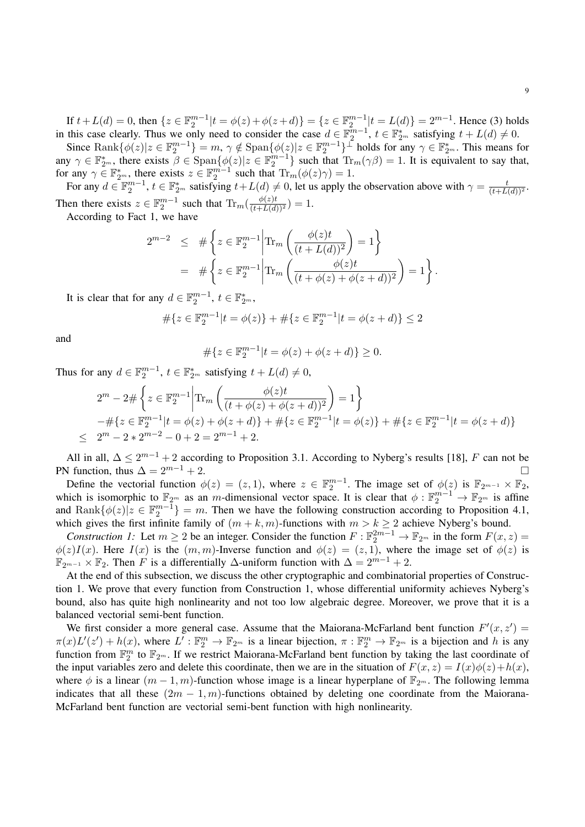If  $t + L(d) = 0$ , then  $\{z \in \mathbb{F}_2^{m-1} | t = \phi(z) + \phi(z+d) \} = \{z \in \mathbb{F}_2^{m-1} | t = L(d) \} = 2^{m-1}$ . Hence (3) holds in this case clearly. Thus we only need to consider the case  $d \in \mathbb{F}_2^{m-1}$ ,  $t \in \mathbb{F}_2^*$  satisfying  $t + L(d) \neq 0$ .

Since  $\text{Rank}\{\phi(z)|z \in \mathbb{F}_2^{m-1}\}=m, \, \gamma \notin \text{Span}\{\phi(z)|z \in \mathbb{F}_2^{m-1}\}^{\perp}$  holds for any  $\gamma \in \mathbb{F}_{2^m}^*$ . This means for any  $\gamma \in \mathbb{F}_{2^m}^*$ , there exists  $\beta \in \text{Span}\{\phi(z)|z \in \mathbb{F}_2^{m-1}\}\$  such that  $\text{Tr}_m(\gamma \beta) = 1$ . It is equivalent to say that, for any  $\gamma \in \mathbb{F}_{2^m}^*$ , there exists  $z \in \mathbb{F}_2^{m-1}$  such that  $\text{Tr}_m(\phi(z)\gamma) = 1$ .

For any  $d \in \mathbb{F}_2^{m-1}$ ,  $t \in \mathbb{F}_{2^m}^*$  satisfying  $t + L(d) \neq 0$ , let us apply the observation above with  $\gamma = \frac{t}{(t + L(d))^2}$ . Then there exists  $z \in \mathbb{F}_2^{m-1}$  such that  $\text{Tr}_m(\frac{\phi(z)t}{(t+L(d))^2}) = 1$ .

According to Fact 1, we have

$$
2^{m-2} \leq # \left\{ z \in \mathbb{F}_2^{m-1} \middle| \text{Tr}_m \left( \frac{\phi(z)t}{(t+L(d))^2} \right) = 1 \right\}
$$
  
= # 
$$
\left\{ z \in \mathbb{F}_2^{m-1} \middle| \text{Tr}_m \left( \frac{\phi(z)t}{(t+\phi(z)+\phi(z+d))^2} \right) = 1 \right\}.
$$

It is clear that for any  $d \in \mathbb{F}_2^{m-1}$ ,  $t \in \mathbb{F}_{2^m}^*$ ,

$$
\#\{z \in \mathbb{F}_2^{m-1} | t = \phi(z)\} + \#\{z \in \mathbb{F}_2^{m-1} | t = \phi(z+d)\} \le 2
$$

and

$$
\# \{ z \in \mathbb{F}_2^{m-1} | t = \phi(z) + \phi(z+d) \} \ge 0.
$$

Thus for any  $d \in \mathbb{F}_2^{m-1}$ ,  $t \in \mathbb{F}_{2^m}^*$  satisfying  $t + L(d) \neq 0$ ,

$$
2^{m} - 2 \# \left\{ z \in \mathbb{F}_{2}^{m-1} \middle| \text{Tr}_{m} \left( \frac{\phi(z)t}{(t + \phi(z) + \phi(z+d))^{2}} \right) = 1 \right\}
$$
  
 
$$
- \# \left\{ z \in \mathbb{F}_{2}^{m-1} \middle| t = \phi(z) + \phi(z+d) \right\} + \# \left\{ z \in \mathbb{F}_{2}^{m-1} \middle| t = \phi(z) \right\} + \# \left\{ z \in \mathbb{F}_{2}^{m-1} \middle| t = \phi(z+d) \right\}
$$
  
 
$$
\leq 2^{m} - 2 * 2^{m-2} - 0 + 2 = 2^{m-1} + 2.
$$

All in all,  $\Delta \leq 2^{m-1} + 2$  according to Proposition 3.1. According to Nyberg's results [18], F can not be PN function, thus  $\Delta = 2^{m-1} + 2$ .

Define the vectorial function  $\phi(z) = (z, 1)$ , where  $z \in \mathbb{F}_2^{m-1}$ . The image set of  $\phi(z)$  is  $\mathbb{F}_{2^{m-1}} \times \mathbb{F}_2$ , which is isomorphic to  $\mathbb{F}_{2^m}$  as an m-dimensional vector space. It is clear that  $\phi: \mathbb{F}_2^{m-1} \to \mathbb{F}_{2^m}$  is affine and  $\text{Rank}\{\phi(z)|z \in \mathbb{F}_2^{m-1}\}=m$ . Then we have the following construction according to Proposition 4.1, which gives the first infinite family of  $(m + k, m)$ -functions with  $m > k \ge 2$  achieve Nyberg's bound.

*Construction 1:* Let  $m \ge 2$  be an integer. Consider the function  $F : \mathbb{F}_2^{2m-1} \to \mathbb{F}_{2m}$  in the form  $F(x, z) =$  $\phi(z)I(x)$ . Here  $I(x)$  is the  $(m, m)$ -Inverse function and  $\phi(z) = (z, 1)$ , where the image set of  $\phi(z)$  is  $\mathbb{F}_{2^{m-1}} \times \mathbb{F}_2$ . Then F is a differentially  $\Delta$ -uniform function with  $\Delta = 2^{m-1} + 2$ .

At the end of this subsection, we discuss the other cryptographic and combinatorial properties of Construction 1. We prove that every function from Construction 1, whose differential uniformity achieves Nyberg's bound, also has quite high nonlinearity and not too low algebraic degree. Moreover, we prove that it is a balanced vectorial semi-bent function.

We first consider a more general case. Assume that the Maiorana-McFarland bent function  $F'(x, z') =$  $\pi(x)L'(z')+h(x)$ , where  $L': \mathbb{F}_2^m \to \mathbb{F}_{2^m}$  is a linear bijection,  $\pi: \mathbb{F}_2^m \to \mathbb{F}_{2^m}$  is a bijection and h is any function from  $\mathbb{F}_2^m$  to  $\mathbb{F}_{2^m}$ . If we restrict Maiorana-McFarland bent function by taking the last coordinate of the input variables zero and delete this coordinate, then we are in the situation of  $F(x, z) = I(x)\phi(z) + h(x)$ , where  $\phi$  is a linear  $(m-1, m)$ -function whose image is a linear hyperplane of  $\mathbb{F}_{2^m}$ . The following lemma indicates that all these  $(2m - 1, m)$ -functions obtained by deleting one coordinate from the Maiorana-McFarland bent function are vectorial semi-bent function with high nonlinearity.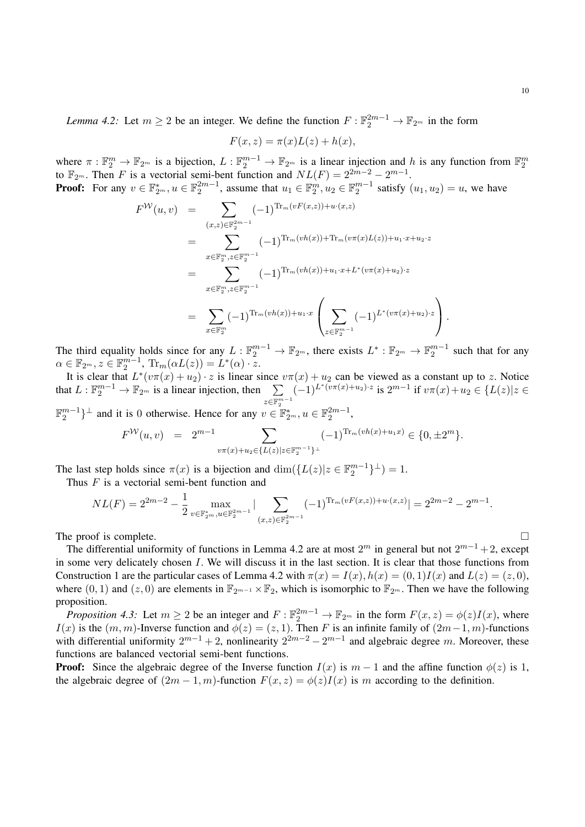*Lemma 4.2:* Let  $m \ge 2$  be an integer. We define the function  $F : \mathbb{F}_2^{2m-1} \to \mathbb{F}_{2^m}$  in the form

$$
F(x, z) = \pi(x)L(z) + h(x),
$$

where  $\pi : \mathbb{F}_2^m \to \mathbb{F}_{2^m}$  is a bijection,  $L : \mathbb{F}_2^{m-1} \to \mathbb{F}_{2^m}$  is a linear injection and h is any function from  $\mathbb{F}_2^m$  to  $\mathbb{F}_{2^m}$ . Then F is a vectorial semi-bent function and  $NL(F) = 2^{2m-2} - 2^{m-1$ 

**Proof:** For any  $v \in \mathbb{F}_{2^m}^*$ ,  $u \in \mathbb{F}_{2^m}^{2m-1}$ , assume that  $u_1 \in \mathbb{F}_{2^m}^m$ ,  $u_2 \in \mathbb{F}_{2^m}^{m-1}$  satisfy  $(u_1, u_2) = u$ , we have  $\pi$  ( $\pi$ ( $\chi$ )) (x)

$$
F^{W}(u, v) = \sum_{(x,z) \in \mathbb{F}_{2}^{2m-1}} (-1)^{\text{Tr}_{m}(vF(x,z)) + u \cdot (x,z)}
$$
  
\n
$$
= \sum_{x \in \mathbb{F}_{2}^{m}, z \in \mathbb{F}_{2}^{m-1}} (-1)^{\text{Tr}_{m}(vh(x)) + \text{Tr}_{m}(v\pi(x)L(z)) + u_{1} \cdot x + u_{2} \cdot z}
$$
  
\n
$$
= \sum_{x \in \mathbb{F}_{2}^{m}, z \in \mathbb{F}_{2}^{m-1}} (-1)^{\text{Tr}_{m}(vh(x)) + u_{1} \cdot x + L^{*}(v\pi(x) + u_{2}) \cdot z}
$$
  
\n
$$
= \sum_{x \in \mathbb{F}_{2}^{m}} (-1)^{\text{Tr}_{m}(vh(x)) + u_{1} \cdot x} \left( \sum_{z \in \mathbb{F}_{2}^{m-1}} (-1)^{L^{*}(v\pi(x) + u_{2}) \cdot z} \right).
$$

The third equality holds since for any  $L: \mathbb{F}_2^{m-1} \to \mathbb{F}_{2^m}$ , there exists  $L^*: \mathbb{F}_{2^m} \to \mathbb{F}_2^{m-1}$  such that for any  $\alpha \in \mathbb{F}_{2^m}, z \in \mathbb{F}_2^{m-1}, \text{ Tr}_m(\alpha L(z)) = L^*(\alpha) \cdot \overline{z}.$ 

It is clear that  $L^*(v\pi(x) + u_2) \cdot z$  is linear since  $v\pi(x) + u_2$  can be viewed as a constant up to z. Notice that  $L : \mathbb{F}_2^{m-1} \to \mathbb{F}_{2^m}$  is a linear injection, then  $\sum$  $z \in \mathbb{F}_2^{m-1}$  $(-1)^{L^*(v\pi(x)+u_2)\cdot z}$  is  $2^{m-1}$  if  $v\pi(x)+u_2$  ∈ {L(z)|z ∈

 $\mathbb{F}_2^{m-1}\}^{\perp}$  and it is 0 otherwise. Hence for any  $v \in \mathbb{F}_{2^m}^*, u \in \mathbb{F}_2^{2m-1}$ ,

$$
F^{\mathcal{W}}(u,v) = 2^{m-1} \sum_{v \pi(x) + u_2 \in \{L(z) \mid z \in \mathbb{F}_2^{m-1}\}^\perp} (-1)^{\text{Tr}_m(vh(x) + u_1 x)} \in \{0, \pm 2^m\}.
$$

The last step holds since  $\pi(x)$  is a bijection and  $\dim({L(z)|z \in \mathbb{F}_2^{m-1}}^{\perp}) = 1$ . Thus  $F$  is a vectorial semi-bent function and

$$
NL(F) = 2^{2m-2} - \frac{1}{2} \max_{v \in \mathbb{F}_{2^m}^*, u \in \mathbb{F}_2^{2m-1}} |\sum_{(x,z) \in \mathbb{F}_2^{2m-1}} (-1)^{\text{Tr}_m(vF(x,z)) + u \cdot (x,z)}| = 2^{2m-2} - 2^{m-1}.
$$

The proof is complete.

The differential uniformity of functions in Lemma 4.2 are at most  $2^m$  in general but not  $2^{m-1}+2$ , except in some very delicately chosen I. We will discuss it in the last section. It is clear that those functions from Construction 1 are the particular cases of Lemma 4.2 with  $\pi(x) = I(x)$ ,  $h(x) = (0, 1)I(x)$  and  $L(z) = (z, 0)$ , where (0, 1) and (z, 0) are elements in  $\mathbb{F}_{2^{m-1}} \times \mathbb{F}_2$ , which is isomorphic to  $\mathbb{F}_{2^m}$ . Then we have the following proposition.

*Proposition 4.3:* Let  $m \ge 2$  be an integer and  $F : \mathbb{F}_2^{2m-1} \to \mathbb{F}_{2m}$  in the form  $F(x, z) = \phi(z)I(x)$ , where I(x) is the  $(m, m)$ -Inverse function and  $\phi(z) = (z, 1)$ . Then F is an infinite family of  $(2m-1, m)$ -functions with differential uniformity  $2^{m-1} + 2$ , nonlinearity  $2^{2m-2} - 2^{m-1}$  and algebraic degree m. Moreover, these functions are balanced vectorial semi-bent functions.

**Proof:** Since the algebraic degree of the Inverse function  $I(x)$  is  $m-1$  and the affine function  $\phi(z)$  is 1, the algebraic degree of  $(2m-1, m)$ -function  $F(x, z) = \phi(z)I(x)$  is m according to the definition.

$$
\Box
$$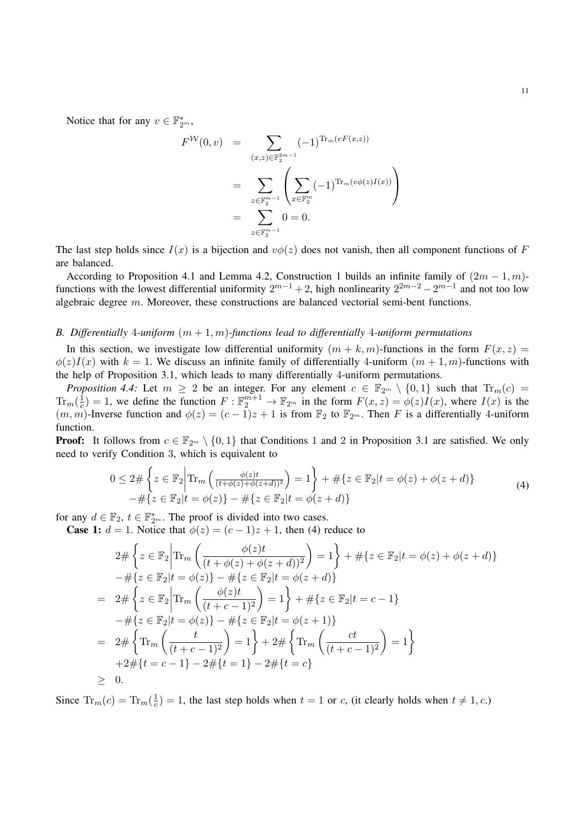Notice that for any  $v \in \mathbb{F}_{2^m}^*$ ,

$$
F^{\mathcal{W}}(0, v) = \sum_{(x,z) \in \mathbb{F}_2^{2m-1}} (-1)^{\text{Tr}_m(vF(x,z))}
$$
  
= 
$$
\sum_{z \in \mathbb{F}_2^{m-1}} \left( \sum_{x \in \mathbb{F}_2^m} (-1)^{\text{Tr}_m(v\phi(z)I(x))} \right)
$$
  
= 
$$
\sum_{z \in \mathbb{F}_2^{m-1}} 0 = 0.
$$

The last step holds since  $I(x)$  is a bijection and  $v\phi(z)$  does not vanish, then all component functions of F are balanced.

According to Proposition 4.1 and Lemma 4.2, Construction 1 builds an infinite family of  $(2m - 1, m)$ functions with the lowest differential uniformity  $2^{m-1}+2$ , high nonlinearity  $2^{2m-2}-2^{m-1}$  and not too low algebraic degree m. Moreover, these constructions are balanced vectorial semi-bent functions.

#### *B. Differentially* 4*-uniform* (m + 1, m)*-functions lead to differentially* 4*-uniform permutations*

In this section, we investigate low differential uniformity  $(m + k, m)$ -functions in the form  $F(x, z) =$  $\phi(z)I(x)$  with  $k = 1$ . We discuss an infinite family of differentially 4-uniform  $(m + 1, m)$ -functions with the help of Proposition 3.1, which leads to many differentially 4-uniform permutations.

*Proposition 4.4:* Let  $m \geq 2$  be an integer. For any element  $c \in \mathbb{F}_{2^m} \setminus \{0,1\}$  such that  $\text{Tr}_m(c)$  $\text{Tr}_m(\frac{1}{c}$  $\frac{1}{c}$  = 1, we define the function  $F: \mathbb{F}_2^{m+1} \to \mathbb{F}_{2^m}$  in the form  $F(x, z) = \phi(z)I(x)$ , where  $I(x)$  is the  $(m, m)$ -Inverse function and  $\phi(z) = (c - 1)z + 1$  is from  $\mathbb{F}_2$  to  $\mathbb{F}_{2^m}$ . Then F is a differentially 4-uniform function.

**Proof:** It follows from  $c \in \mathbb{F}_{2^m} \setminus \{0, 1\}$  that Conditions 1 and 2 in Proposition 3.1 are satisfied. We only need to verify Condition 3, which is equivalent to

$$
0 \le 2 \# \left\{ z \in \mathbb{F}_2 \middle| \text{Tr}_m \left( \frac{\phi(z)t}{(t + \phi(z) + \phi(z+d))^2} \right) = 1 \right\} + \# \{ z \in \mathbb{F}_2 | t = \phi(z) + \phi(z+d) \} - \# \{ z \in \mathbb{F}_2 | t = \phi(z) \} - \# \{ z \in \mathbb{F}_2 | t = \phi(z+d) \}
$$
(4)

for any  $d \in \mathbb{F}_2$ ,  $t \in \mathbb{F}_2^*$ . The proof is divided into two cases.

**Case 1:**  $d = 1$ . Notice that  $\phi(z) = (c - 1)z + 1$ , then (4) reduce to

$$
2 \# \left\{ z \in \mathbb{F}_2 \middle| \text{Tr}_m \left( \frac{\phi(z)t}{(t + \phi(z) + \phi(z + d))^2} \right) = 1 \right\} + \# \{ z \in \mathbb{F}_2 | t = \phi(z) + \phi(z + d) \}
$$
  
\n
$$
- \# \{ z \in \mathbb{F}_2 | t = \phi(z) \} - \# \{ z \in \mathbb{F}_2 | t = \phi(z + d) \}
$$
  
\n
$$
= 2 \# \left\{ z \in \mathbb{F}_2 \middle| \text{Tr}_m \left( \frac{\phi(z)t}{(t + c - 1)^2} \right) = 1 \right\} + \# \{ z \in \mathbb{F}_2 | t = c - 1 \}
$$
  
\n
$$
- \# \{ z \in \mathbb{F}_2 | t = \phi(z) \} - \# \{ z \in \mathbb{F}_2 | t = \phi(z + 1) \}
$$
  
\n
$$
= 2 \# \left\{ \text{Tr}_m \left( \frac{t}{(t + c - 1)^2} \right) = 1 \right\} + 2 \# \left\{ \text{Tr}_m \left( \frac{ct}{(t + c - 1)^2} \right) = 1 \right\}
$$
  
\n
$$
+ 2 \# \{ t = c - 1 \} - 2 \# \{ t = 1 \} - 2 \# \{ t = c \}
$$
  
\n
$$
\geq 0.
$$

Since  $\text{Tr}_m(c) = \text{Tr}_m(\frac{1}{c})$  $\frac{1}{c}$  = 1, the last step holds when  $t = 1$  or c, (it clearly holds when  $t \neq 1, c$ .)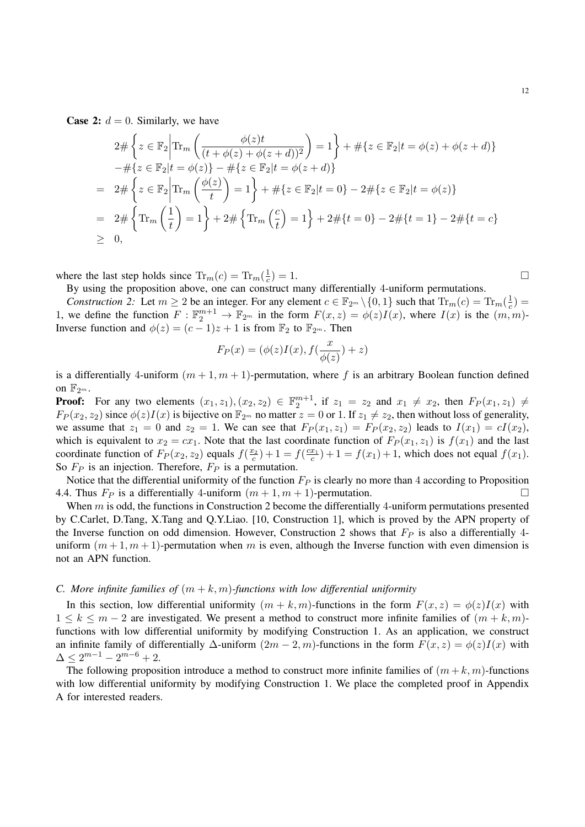**Case 2:**  $d = 0$ . Similarly, we have

$$
2 \# \left\{ z \in \mathbb{F}_2 \middle| \text{Tr}_m \left( \frac{\phi(z)t}{(t + \phi(z) + \phi(z + d))^2} \right) = 1 \right\} + \# \{ z \in \mathbb{F}_2 | t = \phi(z) + \phi(z + d) \}
$$
  
\n
$$
- \# \{ z \in \mathbb{F}_2 | t = \phi(z) \} - \# \{ z \in \mathbb{F}_2 | t = \phi(z + d) \}
$$
  
\n
$$
= 2 \# \left\{ z \in \mathbb{F}_2 \middle| \text{Tr}_m \left( \frac{\phi(z)}{t} \right) = 1 \right\} + \# \{ z \in \mathbb{F}_2 | t = 0 \} - 2 \# \{ z \in \mathbb{F}_2 | t = \phi(z) \}
$$
  
\n
$$
= 2 \# \left\{ \text{Tr}_m \left( \frac{1}{t} \right) = 1 \right\} + 2 \# \left\{ \text{Tr}_m \left( \frac{c}{t} \right) = 1 \right\} + 2 \# \{ t = 0 \} - 2 \# \{ t = 1 \} - 2 \# \{ t = c \}
$$
  
\n
$$
\geq 0,
$$

where the last step holds since  $\text{Tr}_m(c) = \text{Tr}_m(\frac{1}{c})$ c  $) = 1.$ 

By using the proposition above, one can construct many differentially 4-uniform permutations.

*Construction 2:* Let  $m \ge 2$  be an integer. For any element  $c \in \mathbb{F}_{2^m} \setminus \{0, 1\}$  such that  $\text{Tr}_m(c) = \text{Tr}_m(\frac{1}{c})$ Lonstruction 2. Let  $m \ge 2$  be an integer. For any element  $e \in \mathbb{F}_2^m \setminus \{0, 1\}$  such that  $\lim_{m \to \infty} (e) = \lim_{n \to \infty} (e)$ <br>1, we define the function  $F : \mathbb{F}_2^{m+1} \to \mathbb{F}_2^m$  in the form  $F(x, z) = \phi(z)I(x)$ , where  $I(x)$  i Inverse function and  $\phi(z) = (c-1)z + 1$  is from  $\mathbb{F}_2$  to  $\mathbb{F}_{2^m}$ . Then

$$
F_P(x) = (\phi(z)I(x), f(\frac{x}{\phi(z)}) + z)
$$

is a differentially 4-uniform  $(m+1, m+1)$ -permutation, where f is an arbitrary Boolean function defined on  $\mathbb{F}_{2^m}$ .

**Proof:** For any two elements  $(x_1, z_1), (x_2, z_2) \in \mathbb{F}_2^{m+1}$ , if  $z_1 = z_2$  and  $x_1 \neq x_2$ , then  $F_P(x_1, z_1) \neq$  $F_P(x_2, z_2)$  since  $\phi(z)I(x)$  is bijective on  $\mathbb{F}_{2^m}$  no matter  $z = 0$  or 1. If  $z_1 \neq z_2$ , then without loss of generality, we assume that  $z_1 = 0$  and  $z_2 = 1$ . We can see that  $F_P(x_1, z_1) = F_P(x_2, z_2)$  leads to  $I(x_1) = cI(x_2)$ , which is equivalent to  $x_2 = cx_1$ . Note that the last coordinate function of  $F_P(x_1, z_1)$  is  $f(x_1)$  and the last coordinate function of  $F_P(x_2, z_2)$  equals  $f(\frac{x_2}{c}) + 1 = f(\frac{cx_1}{c}) + 1 = f(x_1) + 1$ , which does not equal  $f(x_1)$ . So  $F_P$  is an injection. Therefore,  $F_P$  is a permutation.

Notice that the differential uniformity of the function  $F_P$  is clearly no more than 4 according to Proposition 4.4. Thus  $F_P$  is a differentially 4-uniform  $(m + 1, m + 1)$ -permutation.

When  $m$  is odd, the functions in Construction 2 become the differentially 4-uniform permutations presented by C.Carlet, D.Tang, X.Tang and Q.Y.Liao. [10, Construction 1], which is proved by the APN property of the Inverse function on odd dimension. However, Construction 2 shows that  $F_P$  is also a differentially 4uniform  $(m+1, m+1)$ -permutation when m is even, although the Inverse function with even dimension is not an APN function.

# *C. More infinite families of*  $(m + k, m)$ *-functions with low differential uniformity*

In this section, low differential uniformity  $(m + k, m)$ -functions in the form  $F(x, z) = \phi(z)I(x)$  with  $1 \leq k \leq m-2$  are investigated. We present a method to construct more infinite families of  $(m+k, m)$ functions with low differential uniformity by modifying Construction 1. As an application, we construct an infinite family of differentially  $\Delta$ -uniform  $(2m-2, m)$ -functions in the form  $F(x, z) = \phi(z)I(x)$  with  $\Delta \leq 2^{m-1} - 2^{m-6} + 2.$ 

The following proposition introduce a method to construct more infinite families of  $(m + k, m)$ -functions with low differential uniformity by modifying Construction 1. We place the completed proof in Appendix A for interested readers.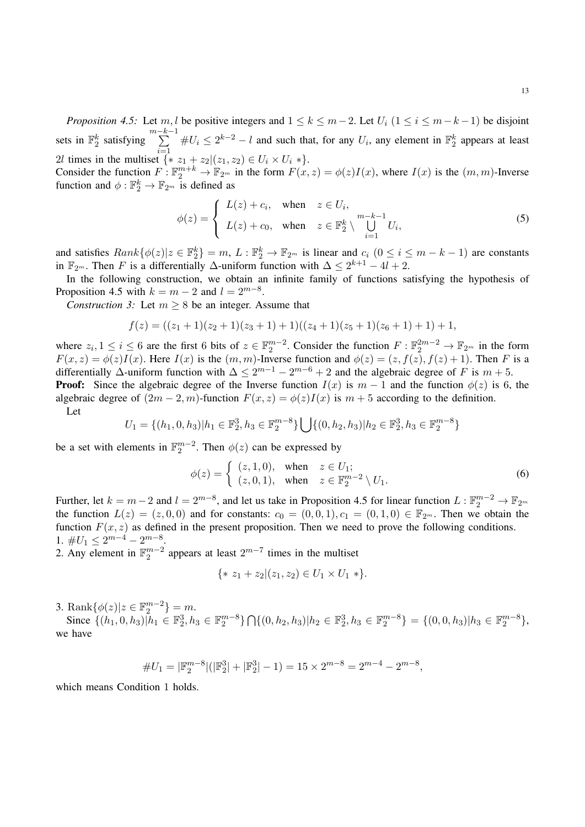*Proposition 4.5:* Let m, l be positive integers and  $1 \le k \le m-2$ . Let  $U_i$   $(1 \le i \le m-k-1)$  be disjoint sets in  $\mathbb{F}_2^k$  satisfying  $\sum_{k=1}^{m-k-1}$ 2*l* times in the multiset  $\{ * z_1 + z_2 | (z_1, z_2) \in U_i \times U_i * \}.$  $#U_i \leq 2^{k-2} - l$  and such that, for any  $U_i$ , any element in  $\mathbb{F}_2^k$  appears at least

Consider the function  $F: \mathbb{F}_2^{m+k} \to \mathbb{F}_{2^m}$  in the form  $F(x, z) = \phi(z)I(x)$ , where  $I(x)$  is the  $(m, m)$ -Inverse function and  $\phi : \mathbb{F}_2^k \to \mathbb{F}_{2^m}$  is defined as

$$
\phi(z) = \begin{cases} L(z) + c_i, & \text{when } z \in U_i, \\ L(z) + c_0, & \text{when } z \in \mathbb{F}_2^k \setminus \bigcup_{i=1}^{m-k-1} U_i, \end{cases}
$$
(5)

and satisfies  $Rank\{\phi(z)|z \in \mathbb{F}_2^k\} = m, L : \mathbb{F}_2^k \to \mathbb{F}_{2^m}$  is linear and  $c_i$   $(0 \le i \le m-k-1)$  are constants in  $\mathbb{F}_{2^m}$ . Then F is a differentially  $\Delta$ -uniform function with  $\Delta \leq 2^{k+1} - 4l + 2$ .

In the following construction, we obtain an infinite family of functions satisfying the hypothesis of Proposition 4.5 with  $k = m - 2$  and  $l = 2^{m-8}$ .

*Construction 3:* Let  $m \geq 8$  be an integer. Assume that

$$
f(z) = ((z1+1)(z2+1)(z3+1)+1)((z4+1)(z5+1)(z6+1)+1)+1,
$$

where  $z_i, 1 \le i \le 6$  are the first 6 bits of  $z \in \mathbb{F}_2^{m-2}$ . Consider the function  $F: \mathbb{F}_2^{2m-2} \to \mathbb{F}_{2^m}$  in the form  $F(x, z) = \phi(z)I(x)$ . Here  $I(x)$  is the  $(m, m)$ -Inverse function and  $\phi(z) = (z, f(z), f(z) + 1)$ . Then F is a differentially  $\Delta$ -uniform function with  $\Delta \leq 2^{m-1} - 2^{m-6} + 2$  and the algebraic degree of F is  $m + 5$ .

**Proof:** Since the algebraic degree of the Inverse function  $I(x)$  is  $m - 1$  and the function  $\phi(z)$  is 6, the algebraic degree of  $(2m - 2, m)$ -function  $F(x, z) = \phi(z)I(x)$  is  $m + 5$  according to the definition.

Let

$$
U_1 = \{(h_1, 0, h_3) | h_1 \in \mathbb{F}_2^3, h_3 \in \mathbb{F}_2^{m-8}\} \bigcup \{(0, h_2, h_3) | h_2 \in \mathbb{F}_2^3, h_3 \in \mathbb{F}_2^{m-8}\}\
$$

be a set with elements in  $\mathbb{F}_2^{m-2}$ . Then  $\phi(z)$  can be expressed by

$$
\phi(z) = \begin{cases} (z, 1, 0), & \text{when } z \in U_1; \\ (z, 0, 1), & \text{when } z \in \mathbb{F}_2^{m-2} \setminus U_1. \end{cases}
$$
 (6)

Further, let  $k = m-2$  and  $l = 2^{m-8}$ , and let us take in Proposition 4.5 for linear function  $L : \mathbb{F}_2^{m-2} \to \mathbb{F}_{2^m}$ the function  $L(z) = (z, 0, 0)$  and for constants:  $c_0 = (0, 0, 1), c_1 = (0, 1, 0) \in \mathbb{F}_{2^m}$ . Then we obtain the function  $F(x, z)$  as defined in the present proposition. Then we need to prove the following conditions. 1.  $\#U_1 \leq 2^{m-4} - 2^{m-8}$ .

2. Any element in  $\mathbb{F}_2^{m-2}$  appears at least  $2^{m-7}$  times in the multiset

$$
\{ * z_1 + z_2 | (z_1, z_2) \in U_1 \times U_1 * \}.
$$

3. Rank $\{\phi(z)|z \in \mathbb{F}_2^{m-2}\} = m$ .

Since  $\{(h_1, 0, h_3)| h_1 \in \mathbb{F}_2^3, h_3 \in \mathbb{F}_2^{m-8}\} \cap \{(0, h_2, h_3)| h_2 \in \mathbb{F}_2^3, h_3 \in \mathbb{F}_2^{m-8}\} = \{(0, 0, h_3)| h_3 \in \mathbb{F}_2^{m-8}\},$ we have

$$
\# U_1 = |\mathbb{F}_2^{m-8}| (|\mathbb{F}_2^3|+|\mathbb{F}_2^3|-1) = 15 \times 2^{m-8} = 2^{m-4} - 2^{m-8},
$$

which means Condition 1 holds.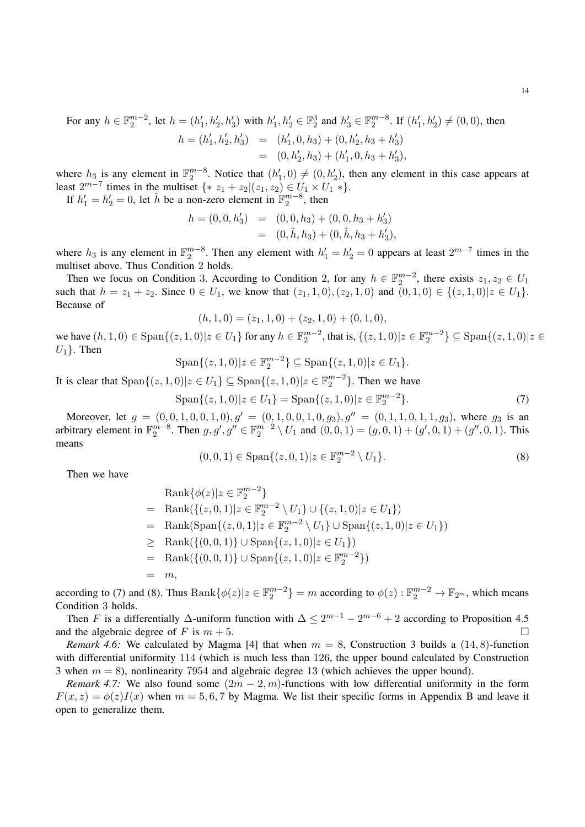where  $h_3$  is any element in  $\mathbb{F}_2^{m-8}$ . Notice that  $(h'_1, 0) \neq (0, h'_2)$ , then any element in this case appears at least  $2^{m-7}$  times in the multiset  $\{ * z_1 + z_2 | (z_1, z_2) \in U_1 \times U_1 * \}.$ 

If  $h'_1 = h'_2 = 0$ , let  $\tilde{h}$  be a non-zero element in  $\mathbb{F}_2^{m-8}$ , then

$$
h = (0, 0, h'_3) = (0, 0, h_3) + (0, 0, h_3 + h'_3)
$$
  
= (0,  $\tilde{h}$ ,  $h_3$ ) + (0,  $\tilde{h}$ ,  $h_3$  +  $h'_3$ ),

where  $h_3$  is any element in  $\mathbb{F}_2^{m-8}$ . Then any element with  $h'_1 = h'_2 = 0$  appears at least  $2^{m-7}$  times in the multiset above. Thus Condition 2 holds.

Then we focus on Condition 3. According to Condition 2, for any  $h \in \mathbb{F}_2^{m-2}$ , there exists  $z_1, z_2 \in U_1$ such that  $h = z_1 + z_2$ . Since  $0 \in U_1$ , we know that  $(z_1, 1, 0), (z_2, 1, 0)$  and  $(0, 1, 0) \in \{(z, 1, 0)|z \in U_1\}$ . Because of

$$
(h,1,0) = (z_1,1,0) + (z_2,1,0) + (0,1,0),
$$

we have  $(h, 1, 0) \in \text{Span}\{(z, 1, 0)|z \in U_1\}$  for any  $h \in \mathbb{F}_2^{m-2}$ , that is,  $\{(z, 1, 0)|z \in \mathbb{F}_2^{m-2}\} \subseteq \text{Span}\{(z, 1, 0)|z \in U_1\}$  $U_1$ . Then

$$
Span\{(z,1,0)|z \in \mathbb{F}_2^{m-2}\}\subseteq Span\{(z,1,0)|z \in U_1\}.
$$

It is clear that  $\text{Span}\{(z,1,0)|z \in U_1\} \subseteq \text{Span}\{(z,1,0)|z \in \mathbb{F}_2^{m-2}\}.$  Then we have

$$
Span\{(z,1,0)|z\in U_1\} = Span\{(z,1,0)|z\in \mathbb{F}_2^{m-2}\}.
$$
\n(7)

Moreover, let  $g = (0, 0, 1, 0, 0, 1, 0), g' = (0, 1, 0, 0, 1, 0, g_3), g'' = (0, 1, 1, 0, 1, 1, g_3)$ , where  $g_3$  is an arbitrary element in  $\mathbb{F}_2^{m-8}$ . Then  $g, g', g'' \in \mathbb{F}_2^{m-2} \setminus U_1$  and  $(0,0,1) = (g,0,1) + (g',0,1) + (g'',0,1)$ . This means

$$
(0,0,1) \in \text{Span}\{(z,0,1)|z \in \mathbb{F}_2^{m-2} \setminus U_1\}.
$$
 (8)

Then we have

$$
\begin{aligned}\n\text{Rank}\{\phi(z)|z \in \mathbb{F}_2^{m-2}\} \\
&= \text{Rank}\{ \{(z,0,1)|z \in \mathbb{F}_2^{m-2} \setminus U_1 \} \cup \{ (z,1,0)|z \in U_1 \} \} \\
&= \text{Rank}(\text{Span}\{ (z,0,1)|z \in \mathbb{F}_2^{m-2} \setminus U_1 \} \cup \text{Span}\{ (z,1,0)|z \in U_1 \}) \\
&\geq \text{Rank}(\{(0,0,1)\} \cup \text{Span}\{ (z,1,0)|z \in U_1 \}) \\
&= \text{Rank}(\{(0,0,1)\} \cup \text{Span}\{ (z,1,0)|z \in \mathbb{F}_2^{m-2} \}) \\
&= m,\n\end{aligned}
$$

according to (7) and (8). Thus  $\text{Rank}\{\phi(z)|z \in \mathbb{F}_2^{m-2}\}=m$  according to  $\phi(z): \mathbb{F}_2^{m-2} \to \mathbb{F}_{2^m}$ , which means Condition 3 holds.

Then F is a differentially  $\Delta$ -uniform function with  $\Delta \leq 2^{m-1} - 2^{m-6} + 2$  according to Proposition 4.5 and the algebraic degree of F is  $m + 5$ .

*Remark 4.6:* We calculated by Magma [4] that when  $m = 8$ , Construction 3 builds a (14,8)-function with differential uniformity 114 (which is much less than 126, the upper bound calculated by Construction 3 when  $m = 8$ ), nonlinearity 7954 and algebraic degree 13 (which achieves the upper bound).

*Remark 4.7:* We also found some  $(2m - 2, m)$ -functions with low differential uniformity in the form  $F(x, z) = \phi(z)I(x)$  when  $m = 5, 6, 7$  by Magma. We list their specific forms in Appendix B and leave it open to generalize them.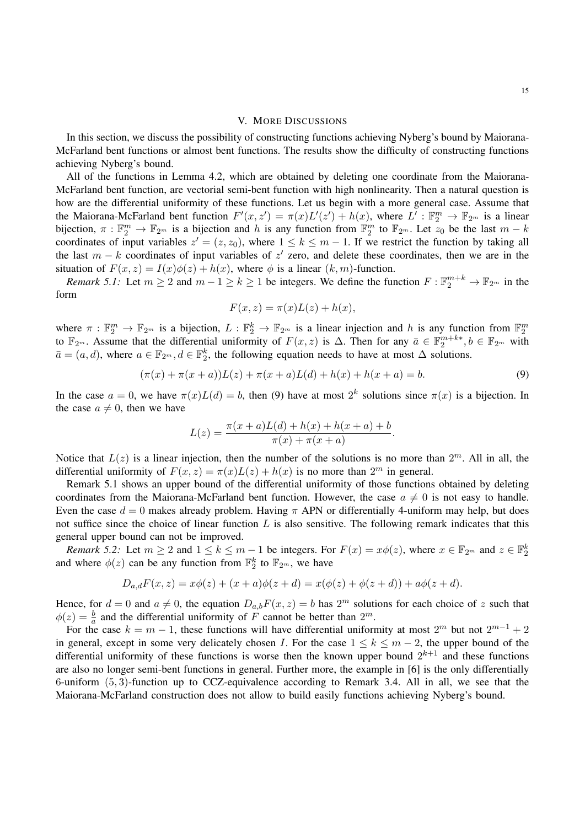#### V. MORE DISCUSSIONS

In this section, we discuss the possibility of constructing functions achieving Nyberg's bound by Maiorana-McFarland bent functions or almost bent functions. The results show the difficulty of constructing functions achieving Nyberg's bound.

All of the functions in Lemma 4.2, which are obtained by deleting one coordinate from the Maiorana-McFarland bent function, are vectorial semi-bent function with high nonlinearity. Then a natural question is how are the differential uniformity of these functions. Let us begin with a more general case. Assume that the Maiorana-McFarland bent function  $F'(x, z') = \pi(x)L'(z') + h(x)$ , where  $L' : \mathbb{F}_2^m \to \mathbb{F}_{2^m}$  is a linear bijection,  $\pi : \mathbb{F}_2^m \to \mathbb{F}_{2^m}$  is a bijection and h is any function from  $\mathbb{F}_2^m$  to  $\mathbb{F}_{2^m}$ . Let  $z_0$  be the last  $m - k$ coordinates of input variables  $z' = (z, z_0)$ , where  $1 \le k \le m - 1$ . If we restrict the function by taking all the last  $m - k$  coordinates of input variables of z' zero, and delete these coordinates, then we are in the situation of  $F(x, z) = I(x)\phi(z) + h(x)$ , where  $\phi$  is a linear  $(k, m)$ -function.

*Remark 5.1:* Let  $m \ge 2$  and  $m-1 \ge k \ge 1$  be integers. We define the function  $F: \mathbb{F}_2^{m+k} \to \mathbb{F}_{2^m}$  in the form

$$
F(x, z) = \pi(x)L(z) + h(x),
$$

where  $\pi : \mathbb{F}_2^m \to \mathbb{F}_{2^m}$  is a bijection,  $L : \mathbb{F}_2^k \to \mathbb{F}_{2^m}$  is a linear injection and h is any function from  $\mathbb{F}_2^m$  to  $\mathbb{F}_{2^m}$ . Assume that the differential uniformity of  $F(x, z)$  is  $\Delta$ . Then for  $\bar{a} = (a, d)$ , where  $a \in \mathbb{F}_{2^m}$ ,  $d \in \mathbb{F}_2^k$ , the following equation needs to have at most  $\Delta$  solutions.

$$
(\pi(x) + \pi(x+a))L(z) + \pi(x+a)L(d) + h(x) + h(x+a) = b.
$$
\n(9)

In the case  $a = 0$ , we have  $\pi(x)L(d) = b$ , then (9) have at most  $2^k$  solutions since  $\pi(x)$  is a bijection. In the case  $a \neq 0$ , then we have

$$
L(z) = \frac{\pi(x+a)L(d) + h(x) + h(x+a) + b}{\pi(x) + \pi(x+a)}.
$$

Notice that  $L(z)$  is a linear injection, then the number of the solutions is no more than  $2^m$ . All in all, the differential uniformity of  $F(x, z) = \pi(x)L(z) + h(x)$  is no more than  $2^m$  in general.

Remark 5.1 shows an upper bound of the differential uniformity of those functions obtained by deleting coordinates from the Maiorana-McFarland bent function. However, the case  $a \neq 0$  is not easy to handle. Even the case  $d = 0$  makes already problem. Having  $\pi$  APN or differentially 4-uniform may help, but does not suffice since the choice of linear function  $L$  is also sensitive. The following remark indicates that this general upper bound can not be improved.

*Remark 5.2:* Let  $m \ge 2$  and  $1 \le k \le m - 1$  be integers. For  $F(x) = x\phi(z)$ , where  $x \in \mathbb{F}_{2^m}$  and  $z \in \mathbb{F}_{2^m}^k$ and where  $\phi(z)$  can be any function from  $\mathbb{F}_2^k$  to  $\mathbb{F}_{2^m}$ , we have

$$
D_{a,d}F(x, z) = x\phi(z) + (x + a)\phi(z + d) = x(\phi(z) + \phi(z + d)) + a\phi(z + d).
$$

Hence, for  $d = 0$  and  $a \neq 0$ , the equation  $D_{a,b}F(x, z) = b$  has  $2^m$  solutions for each choice of z such that  $\phi(z) = \frac{b}{a}$  and the differential uniformity of  $\vec{F}$  cannot be better than  $2^m$ .

For the case  $k = m - 1$ , these functions will have differential uniformity at most  $2^m$  but not  $2^{m-1} + 2$ in general, except in some very delicately chosen I. For the case  $1 \leq k \leq m-2$ , the upper bound of the differential uniformity of these functions is worse then the known upper bound  $2^{k+1}$  and these functions are also no longer semi-bent functions in general. Further more, the example in [6] is the only differentially 6-uniform (5, 3)-function up to CCZ-equivalence according to Remark 3.4. All in all, we see that the Maiorana-McFarland construction does not allow to build easily functions achieving Nyberg's bound.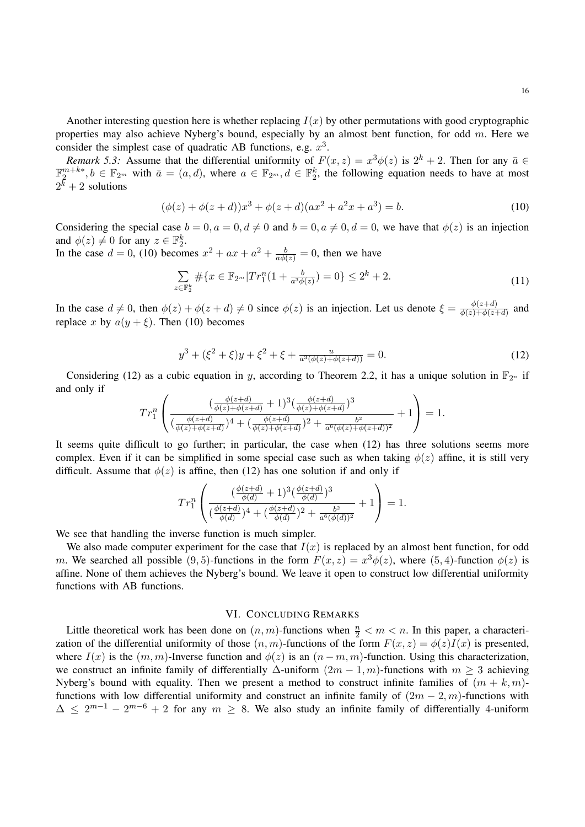Another interesting question here is whether replacing  $I(x)$  by other permutations with good cryptographic properties may also achieve Nyberg's bound, especially by an almost bent function, for odd  $m$ . Here we consider the simplest case of quadratic AB functions, e.g.  $x^3$ .

*Remark 5.3:* Assume that the differential uniformity of  $F(x, z) = x^3 \phi(z)$  is  $2^k + 2$ . Then for any  $\bar{a} \in$  $\mathbb{F}_2^{m+k*}, b \in \mathbb{F}_{2^m}$  with  $\bar{a} = (a, d)$ , where  $a \in \mathbb{F}_{2^m}, d \in \mathbb{F}_2^k$ , the following equation needs to have at most  $2^{\bar{k}}+2$  solutions

$$
(\phi(z) + \phi(z+d))x^3 + \phi(z+d)(ax^2 + a^2x + a^3) = b.
$$
 (10)

Considering the special case  $b = 0, a = 0, d \neq 0$  and  $b = 0, a \neq 0, d = 0$ , we have that  $\phi(z)$  is an injection and  $\phi(z) \neq 0$  for any  $z \in \mathbb{F}_2^k$ .

In the case  $d = 0$ , (10) becomes  $x^2 + ax + a^2 + \frac{b}{a\phi(z)} = 0$ , then we have

$$
\sum_{z \in \mathbb{F}_2^k} \# \{ x \in \mathbb{F}_{2^m} | Tr_1^n(1 + \frac{b}{a^3 \phi(z)}) = 0 \} \le 2^k + 2. \tag{11}
$$

In the case  $d \neq 0$ , then  $\phi(z) + \phi(z + d) \neq 0$  since  $\phi(z)$  is an injection. Let us denote  $\xi = \frac{\phi(z+d)}{\phi(z)+\phi(z)}$  $\frac{\varphi(z+a)}{\varphi(z)+\varphi(z+d)}$  and replace x by  $a(y + \xi)$ . Then (10) becomes

$$
y^3 + (\xi^2 + \xi)y + \xi^2 + \xi + \frac{u}{a^3(\phi(z) + \phi(z+d))} = 0.
$$
 (12)

Considering (12) as a cubic equation in y, according to Theorem 2.2, it has a unique solution in  $\mathbb{F}_{2^n}$  if and only if

$$
Tr_1^n \left( \frac{(\frac{\phi(z+d)}{\phi(z)+\phi(z+d)}+1)^3(\frac{\phi(z+d)}{\phi(z)+\phi(z+d)})^3}{(\frac{\phi(z+d)}{\phi(z)+\phi(z+d)})^4 + (\frac{\phi(z+d)}{\phi(z)+\phi(z+d)})^2 + \frac{b^2}{a^6(\phi(z)+\phi(z+d))^2}} + 1 \right) = 1.
$$

It seems quite difficult to go further; in particular, the case when (12) has three solutions seems more complex. Even if it can be simplified in some special case such as when taking  $\phi(z)$  affine, it is still very difficult. Assume that  $\phi(z)$  is affine, then (12) has one solution if and only if

$$
Tr_1^n \left( \frac{(\frac{\phi(z+d)}{\phi(d)} + 1)^3 (\frac{\phi(z+d)}{\phi(d)})^3}{(\frac{\phi(z+d)}{\phi(d)})^4 + (\frac{\phi(z+d)}{\phi(d)})^2 + \frac{b^2}{a^6(\phi(d))^2}} + 1 \right) = 1.
$$

We see that handling the inverse function is much simpler.

We also made computer experiment for the case that  $I(x)$  is replaced by an almost bent function, for odd m. We searched all possible (9,5)-functions in the form  $F(x, z) = x^3 \phi(z)$ , where (5,4)-function  $\phi(z)$  is affine. None of them achieves the Nyberg's bound. We leave it open to construct low differential uniformity functions with AB functions.

### VI. CONCLUDING REMARKS

Little theoretical work has been done on  $(n, m)$ -functions when  $\frac{n}{2} < m < n$ . In this paper, a characterization of the differential uniformity of those  $(n, m)$ -functions of the form  $F(x, z) = \phi(z)I(x)$  is presented, where  $I(x)$  is the  $(m, m)$ -Inverse function and  $\phi(z)$  is an  $(n - m, m)$ -function. Using this characterization, we construct an infinite family of differentially  $\Delta$ -uniform  $(2m - 1, m)$ -functions with  $m \geq 3$  achieving Nyberg's bound with equality. Then we present a method to construct infinite families of  $(m + k, m)$ functions with low differential uniformity and construct an infinite family of  $(2m - 2, m)$ -functions with  $\Delta \leq 2^{m-1} - 2^{m-6} + 2$  for any  $m \geq 8$ . We also study an infinite family of differentially 4-uniform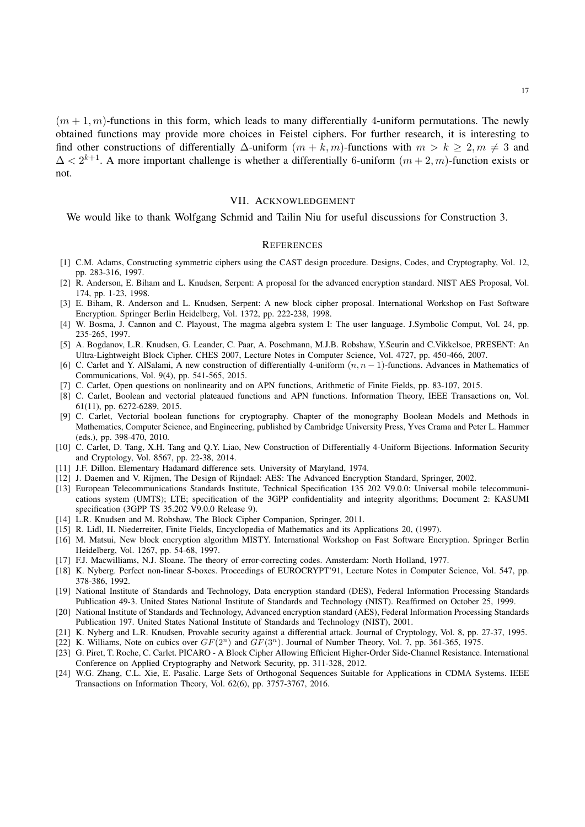$(m+1, m)$ -functions in this form, which leads to many differentially 4-uniform permutations. The newly obtained functions may provide more choices in Feistel ciphers. For further research, it is interesting to find other constructions of differentially  $\Delta$ -uniform  $(m + k, m)$ -functions with  $m > k \ge 2, m \ne 3$  and  $\Delta < 2^{k+1}$ . A more important challenge is whether a differentially 6-uniform  $(m+2, m)$ -function exists or not.

## VII. ACKNOWLEDGEMENT

We would like to thank Wolfgang Schmid and Tailin Niu for useful discussions for Construction 3.

### **REFERENCES**

- [1] C.M. Adams, Constructing symmetric ciphers using the CAST design procedure. Designs, Codes, and Cryptography, Vol. 12, pp. 283-316, 1997.
- [2] R. Anderson, E. Biham and L. Knudsen, Serpent: A proposal for the advanced encryption standard. NIST AES Proposal, Vol. 174, pp. 1-23, 1998.
- [3] E. Biham, R. Anderson and L. Knudsen, Serpent: A new block cipher proposal. International Workshop on Fast Software Encryption. Springer Berlin Heidelberg, Vol. 1372, pp. 222-238, 1998.
- [4] W. Bosma, J. Cannon and C. Playoust, The magma algebra system I: The user language. J.Symbolic Comput, Vol. 24, pp. 235-265, 1997.
- [5] A. Bogdanov, L.R. Knudsen, G. Leander, C. Paar, A. Poschmann, M.J.B. Robshaw, Y.Seurin and C.Vikkelsoe, PRESENT: An Ultra-Lightweight Block Cipher. CHES 2007, Lecture Notes in Computer Science, Vol. 4727, pp. 450-466, 2007.
- [6] C. Carlet and Y. AlSalami, A new construction of differentially 4-uniform  $(n, n 1)$ -functions. Advances in Mathematics of Communications, Vol. 9(4), pp. 541-565, 2015.
- [7] C. Carlet, Open questions on nonlinearity and on APN functions, Arithmetic of Finite Fields, pp. 83-107, 2015.
- [8] C. Carlet, Boolean and vectorial plateaued functions and APN functions. Information Theory, IEEE Transactions on, Vol. 61(11), pp. 6272-6289, 2015.
- [9] C. Carlet, Vectorial boolean functions for cryptography. Chapter of the monography Boolean Models and Methods in Mathematics, Computer Science, and Engineering, published by Cambridge University Press, Yves Crama and Peter L. Hammer (eds.), pp. 398-470, 2010.
- [10] C. Carlet, D. Tang, X.H. Tang and Q.Y. Liao, New Construction of Differentially 4-Uniform Bijections. Information Security and Cryptology, Vol. 8567, pp. 22-38, 2014.
- [11] J.F. Dillon. Elementary Hadamard difference sets. University of Maryland, 1974.
- [12] J. Daemen and V. Rijmen, The Design of Rijndael: AES: The Advanced Encryption Standard, Springer, 2002.
- [13] European Telecommunications Standards Institute, Technical Specification 135 202 V9.0.0: Universal mobile telecommunications system (UMTS); LTE; specification of the 3GPP confidentiality and integrity algorithms; Document 2: KASUMI specification (3GPP TS 35.202 V9.0.0 Release 9).
- [14] L.R. Knudsen and M. Robshaw, The Block Cipher Companion, Springer, 2011.
- [15] R. Lidl, H. Niederreiter, Finite Fields, Encyclopedia of Mathematics and its Applications 20, (1997).
- [16] M. Matsui, New block encryption algorithm MISTY. International Workshop on Fast Software Encryption. Springer Berlin Heidelberg, Vol. 1267, pp. 54-68, 1997.
- [17] F.J. Macwilliams, N.J. Sloane. The theory of error-correcting codes. Amsterdam: North Holland, 1977.
- [18] K. Nyberg. Perfect non-linear S-boxes. Proceedings of EUROCRYPT'91, Lecture Notes in Computer Science, Vol. 547, pp. 378-386, 1992.
- [19] National Institute of Standards and Technology, Data encryption standard (DES), Federal Information Processing Standards Publication 49-3. United States National Institute of Standards and Technology (NIST). Reaffirmed on October 25, 1999.
- [20] National Institute of Standards and Technology, Advanced encryption standard (AES), Federal Information Processing Standards Publication 197. United States National Institute of Standards and Technology (NIST), 2001.
- [21] K. Nyberg and L.R. Knudsen, Provable security against a differential attack. Journal of Cryptology, Vol. 8, pp. 27-37, 1995.
- [22] K. Williams, Note on cubics over  $GF(2^n)$  and  $GF(3^n)$ . Journal of Number Theory, Vol. 7, pp. 361-365, 1975.
- [23] G. Piret, T. Roche, C. Carlet. PICARO A Block Cipher Allowing Efficient Higher-Order Side-Channel Resistance. International Conference on Applied Cryptography and Network Security, pp. 311-328, 2012.
- [24] W.G. Zhang, C.L. Xie, E. Pasalic. Large Sets of Orthogonal Sequences Suitable for Applications in CDMA Systems. IEEE Transactions on Information Theory, Vol. 62(6), pp. 3757-3767, 2016.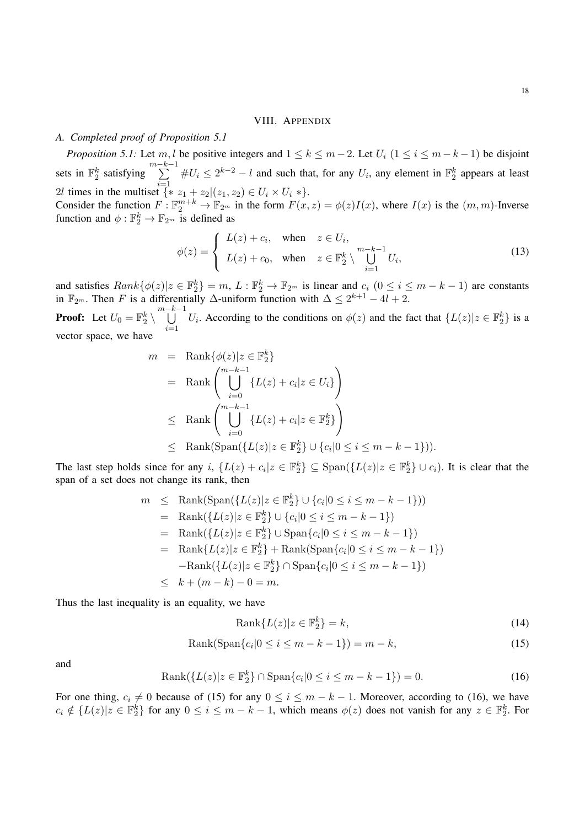#### VIII. APPENDIX

# *A. Completed proof of Proposition 5.1*

*Proposition 5.1:* Let m, l be positive integers and  $1 \le k \le m-2$ . Let  $U_i$   $(1 \le i \le m-k-1)$  be disjoint sets in  $\mathbb{F}_2^k$  satisfying  $\sum_{k=1}^{m-k-1}$ 2*l* times in the multiset  $\{ * z_1 + z_2 | (z_1, z_2) \in U_i \times U_i * \}.$  $#U_i \leq 2^{k-2} - l$  and such that, for any  $U_i$ , any element in  $\mathbb{F}_2^k$  appears at least

Consider the function  $F: \mathbb{F}_2^{m+k} \to \mathbb{F}_{2^m}$  in the form  $F(x, z) = \phi(z)I(x)$ , where  $I(x)$  is the  $(m, m)$ -Inverse function and  $\phi : \mathbb{F}_2^k \to \mathbb{F}_{2^m}$  is defined as

$$
\phi(z) = \begin{cases} L(z) + c_i, & \text{when } z \in U_i, \\ L(z) + c_0, & \text{when } z \in \mathbb{F}_2^k \setminus \bigcup_{i=1}^{m-k-1} U_i, \end{cases}
$$
(13)

and satisfies  $Rank\{\phi(z)|z \in \mathbb{F}_2^k\} = m, L : \mathbb{F}_2^k \to \mathbb{F}_{2^m}$  is linear and  $c_i$   $(0 \le i \le m-k-1)$  are constants in  $\mathbb{F}_{2^m}$ . Then F is a differentially  $\Delta$ -uniform function with  $\Delta \leq 2^{k+1} - 4l + 2$ .

**Proof:** Let  $U_0 = \mathbb{F}_2^k \setminus \bigcup^{m-k-1}$  $i=1$ U<sub>i</sub>. According to the conditions on  $\phi(z)$  and the fact that  $\{L(z)|z \in \mathbb{F}_2^k\}$  is a vector space, we have

$$
m = \text{Rank}\{\phi(z)|z \in \mathbb{F}_2^k\}
$$
  
=  $\text{Rank}\left(\bigcup_{i=0}^{m-k-1} \{L(z) + c_i|z \in U_i\}\right)$   
 $\leq \text{Rank}\left(\bigcup_{i=0}^{m-k-1} \{L(z) + c_i|z \in \mathbb{F}_2^k\}\right)$   
 $\leq \text{Rank}(\text{Span}\{\{L(z)|z \in \mathbb{F}_2^k\} \cup \{c_i|0 \leq i \leq m-k-1\})\}.$ 

The last step holds since for any i,  $\{L(z) + c_i | z \in \mathbb{F}_2^k\} \subseteq \text{Span}(\{L(z) | z \in \mathbb{F}_2^k\} \cup c_i)$ . It is clear that the span of a set does not change its rank, then

$$
m \leq \text{Rank}(\text{Span}(\{L(z)|z \in \mathbb{F}_2^k\} \cup \{c_i|0 \leq i \leq m-k-1\}))
$$
  
\n
$$
= \text{Rank}(\{L(z)|z \in \mathbb{F}_2^k\} \cup \{c_i|0 \leq i \leq m-k-1\})
$$
  
\n
$$
= \text{Rank}(\{L(z)|z \in \mathbb{F}_2^k\} \cup \text{Span}\{c_i|0 \leq i \leq m-k-1\})
$$
  
\n
$$
= \text{Rank}\{L(z)|z \in \mathbb{F}_2^k\} + \text{Rank}(\text{Span}\{c_i|0 \leq i \leq m-k-1\})
$$
  
\n
$$
- \text{Rank}(\{L(z)|z \in \mathbb{F}_2^k\} \cap \text{Span}\{c_i|0 \leq i \leq m-k-1\})
$$
  
\n
$$
\leq k + (m-k) - 0 = m.
$$

Thus the last inequality is an equality, we have

$$
Rank{L(z)|z \in \mathbb{F}_2^k} = k,
$$
\n(14)

$$
Rank(Span{ci|0 \le i \le m-k-1}) = m-k,
$$
\n(15)

and

$$
Rank({L(z)|z \in \mathbb{F}_2^k} \cap \text{Span}\{c_i|0 \le i \le m - k - 1\}) = 0.
$$
\n(16)

For one thing,  $c_i \neq 0$  because of (15) for any  $0 \leq i \leq m - k - 1$ . Moreover, according to (16), we have  $c_i \notin \{L(z)|z \in \mathbb{F}_2^k\}$  for any  $0 \le i \le m - k - 1$ , which means  $\phi(z)$  does not vanish for any  $z \in \mathbb{F}_2^k$ . For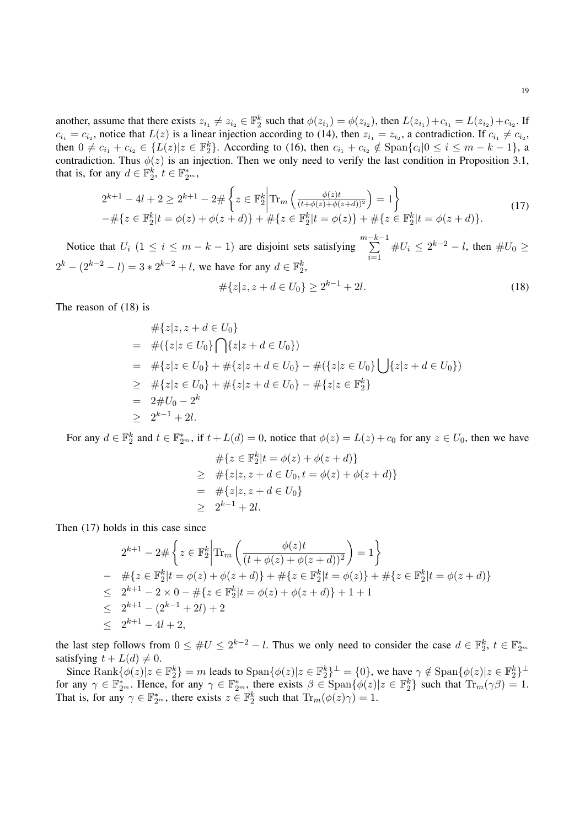another, assume that there exists  $z_{i_1} \neq z_{i_2} \in \mathbb{F}_2^k$  such that  $\phi(z_{i_1}) = \phi(z_{i_2})$ , then  $L(z_{i_1}) + c_{i_1} = L(z_{i_2}) + c_{i_2}$ . If  $c_{i_1} = c_{i_2}$ , notice that  $L(z)$  is a linear injection according to (14), then  $z_{i_1} = z_{i_2}$ , a contradiction. If  $c_{i_1} \neq c_{i_2}$ , then  $0 \neq c_{i_1} + c_{i_2} \in \{L(z)|z \in \mathbb{F}_2^k\}$ . According to (16), then  $c_{i_1} + c_{i_2} \notin \text{Span}\{c_i|0 \leq i \leq m-k-1\}$ , a contradiction. Thus  $\phi(z)$  is an injection. Then we only need to verify the last condition in Proposition 3.1, that is, for any  $d \in \mathbb{F}_2^k$ ,  $t \in \mathbb{F}_{2^m}^*$ ,

$$
2^{k+1} - 4l + 2 \ge 2^{k+1} - 2 \# \left\{ z \in \mathbb{F}_2^k \middle| \text{Tr}_m \left( \frac{\phi(z)t}{(t + \phi(z) + \phi(z+d))^2} \right) = 1 \right\}
$$
  
- 
$$
\# \{ z \in \mathbb{F}_2^k | t = \phi(z) + \phi(z+d) \} + \# \{ z \in \mathbb{F}_2^k | t = \phi(z) \} + \# \{ z \in \mathbb{F}_2^k | t = \phi(z+d) \}.
$$
 (17)

Notice that  $U_i$  (1  $\leq i \leq m - k - 1$ ) are disjoint sets satisfying  $\sum_{i=1}^{m-k-1}$  $i=1$  $\#U_i \leq 2^{k-2} - l$ , then  $\#U_0 \geq$  $2^k - (2^{k-2} - l) = 3 * 2^{k-2} + l$ , we have for any  $d \in \mathbb{F}_2^k$ ,

$$
\#\{z|z, z+d \in U_0\} \ge 2^{k-1} + 2l. \tag{18}
$$

The reason of (18) is

$$
\begin{aligned}\n&\# \{z|z, z + d \in U_0\} \\
&= \#(\{z|z \in U_0\} \bigcap \{z|z + d \in U_0\}) \\
&= \# \{z|z \in U_0\} + \# \{z|z + d \in U_0\} - \#(\{z|z \in U_0\} \bigcup \{z|z + d \in U_0\}) \\
&\geq \# \{z|z \in U_0\} + \# \{z|z + d \in U_0\} - \# \{z|z \in \mathbb{F}_2^k\} \\
&= 2 \# U_0 - 2^k \\
&\geq 2^{k-1} + 2l.\n\end{aligned}
$$

For any  $d \in \mathbb{F}_2^k$  and  $t \in \mathbb{F}_{2^m}^*$ , if  $t + L(d) = 0$ , notice that  $\phi(z) = L(z) + c_0$  for any  $z \in U_0$ , then we have

$$
\begin{aligned}\n&\# \{ z \in \mathbb{F}_2^k | t = \phi(z) + \phi(z + d) \} \\
&\geq \# \{ z | z, z + d \in U_0, t = \phi(z) + \phi(z + d) \} \\
&= \# \{ z | z, z + d \in U_0 \} \\
&\geq 2^{k-1} + 2l.\n\end{aligned}
$$

Then (17) holds in this case since

$$
2^{k+1} - 2 \# \left\{ z \in \mathbb{F}_2^k \middle| \text{Tr}_m \left( \frac{\phi(z)t}{(t + \phi(z) + \phi(z+d))^2} \right) = 1 \right\}
$$
  
\n
$$
- \# \{ z \in \mathbb{F}_2^k | t = \phi(z) + \phi(z+d) \} + \# \{ z \in \mathbb{F}_2^k | t = \phi(z) \} + \# \{ z \in \mathbb{F}_2^k | t = \phi(z+d) \}
$$
  
\n
$$
\leq 2^{k+1} - 2 \times 0 - \# \{ z \in \mathbb{F}_2^k | t = \phi(z) + \phi(z+d) \} + 1 + 1
$$
  
\n
$$
\leq 2^{k+1} - (2^{k-1} + 2l) + 2
$$
  
\n
$$
\leq 2^{k+1} - 4l + 2,
$$

the last step follows from  $0 \leq \#U \leq 2^{k-2} - l$ . Thus we only need to consider the case  $d \in \mathbb{F}_2^k$ ,  $t \in \mathbb{F}_{2^m}^*$ satisfying  $t + L(d) \neq 0$ .

Since  $\text{Rank}\{\phi(z)|z \in \mathbb{F}_2^k\} = m$  leads to  $\text{Span}\{\phi(z)|z \in \mathbb{F}_2^k\}^\perp = \{0\}$ , we have  $\gamma \notin \text{Span}\{\phi(z)|z \in \mathbb{F}_2^k\}^\perp$ for any  $\gamma \in \mathbb{F}_{2^m}^*$ . Hence, for any  $\gamma \in \mathbb{F}_{2^m}^*$ , there exists  $\beta \in \text{Span}\{\phi(z)|z \in \mathbb{F}_2^k\}$  such that  $\text{Tr}_m(\gamma \beta) = 1$ . That is, for any  $\gamma \in \mathbb{F}_{2^m}^*$ , there exists  $z \in \mathbb{F}_2^k$  such that  $\text{Tr}_m(\phi(z)\gamma) = 1$ .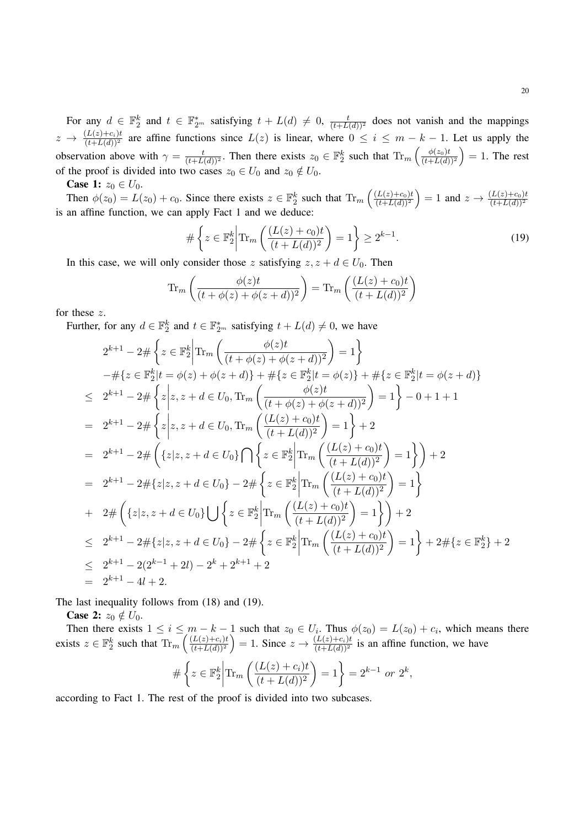For any  $d \in \mathbb{F}_2^k$  and  $t \in \mathbb{F}_{2^m}^*$  satisfying  $t + L(d) \neq 0$ ,  $\frac{t}{(t + L(d))^2}$  does not vanish and the mappings  $z \to \frac{(L(z)+c_i)t}{(t+L(d))^2}$  are affine functions since  $L(z)$  is linear, where  $0 \le i \le m-k-1$ . Let us apply the observation above with  $\gamma = \frac{t}{(t+L(d))^2}$ . Then there exists  $z_0 \in \mathbb{F}_2^k$  such that  $\text{Tr}_m\left(\frac{\phi(z_0)t}{(t+L(d))}\right)$  $\left(\frac{\phi(z_0)t}{(t+L(d))^2}\right) = 1$ . The rest of the proof is divided into two cases  $z_0 \in U_0$  and  $z_0 \notin U_0$ .

**Case 1:**  $z_0 \in U_0$ .

Then  $\phi(z_0) = L(z_0) + c_0$ . Since there exists  $z \in \mathbb{F}_2^k$  such that  $\text{Tr}_m \left( \frac{(L(z) + c_0)t}{(t + L(d))^2} \right)$  $\frac{(L(z)+c_0)t}{(t+L(d))^2}$  = 1 and  $z \to \frac{(L(z)+c_0)t}{(t+L(d))^2}$ is an affine function, we can apply Fact 1 and we deduce:

$$
\#\left\{z \in \mathbb{F}_2^k \middle| \text{Tr}_m\left(\frac{(L(z) + c_0)t}{(t + L(d))^2}\right) = 1\right\} \ge 2^{k-1}.\tag{19}
$$

In this case, we will only consider those z satisfying  $z, z + d \in U_0$ . Then

$$
\operatorname{Tr}_m\left(\frac{\phi(z)t}{(t+\phi(z)+\phi(z+d))^2}\right) = \operatorname{Tr}_m\left(\frac{(L(z)+c_0)t}{(t+L(d))^2}\right)
$$

for these z.

Further, for any  $d \in \mathbb{F}_2^k$  and  $t \in \mathbb{F}_{2^m}^*$  satisfying  $t + L(d) \neq 0$ , we have

$$
2^{k+1} - 2 \# \left\{ z \in \mathbb{F}_2^k \middle| \text{Tr}_m \left( \frac{\phi(z)t}{(t + \phi(z) + \phi(z + d))^2} \right) = 1 \right\}
$$
  
\n
$$
- \# \left\{ z \in \mathbb{F}_2^k \middle| t = \phi(z) + \phi(z + d) \right\} + \# \left\{ z \in \mathbb{F}_2^k \middle| t = \phi(z) \right\} + \# \left\{ z \in \mathbb{F}_2^k \middle| t = \phi(z + d) \right\}
$$
  
\n
$$
\leq 2^{k+1} - 2 \# \left\{ z \middle| z, z + d \in U_0, \text{Tr}_m \left( \frac{\phi(z)t}{(t + \phi(z) + \phi(z + d))^2} \right) = 1 \right\} - 0 + 1 + 1
$$
  
\n
$$
= 2^{k+1} - 2 \# \left\{ z \middle| z, z + d \in U_0, \text{Tr}_m \left( \frac{(L(z) + c_0)t}{(t + L(d))^2} \right) = 1 \right\} + 2
$$
  
\n
$$
= 2^{k+1} - 2 \# \left\{ \left\{ z \middle| z, z + d \in U_0 \right\} \cap \left\{ z \in \mathbb{F}_2^k \middle| \text{Tr}_m \left( \frac{(L(z) + c_0)t}{(t + L(d))^2} \right) = 1 \right\} \right\} + 2
$$
  
\n
$$
= 2^{k+1} - 2 \# \left\{ z \middle| z, z + d \in U_0 \right\} - 2 \# \left\{ z \in \mathbb{F}_2^k \middle| \text{Tr}_m \left( \frac{(L(z) + c_0)t}{(t + L(d))^2} \right) = 1 \right\}
$$
  
\n
$$
+ 2 \# \left\{ \left\{ z \middle| z, z + d \in U_0 \right\} \cup \left\{ z \in \mathbb{F}_2^k \middle| \text{Tr}_m \left( \frac{(L(z) + c_0)t}{(t + L(d))^2} \right) = 1 \right\} \right\} + 2
$$
  
\n
$$
\leq 2^{k+1} - 2 \# \left\{ z \middle| z, z + d \in U_0 \right\} - 2 \#
$$

The last inequality follows from (18) and (19).

**Case 2:**  $z_0 \notin U_0$ .

Then there exists  $1 \le i \le m - k - 1$  such that  $z_0 \in U_i$ . Thus  $\phi(z_0) = L(z_0) + c_i$ , which means there exists  $z \in \mathbb{F}_2^k$  such that  $\text{Tr}_m \left( \frac{(L(z) + c_i)t}{(t + L(d))^2} \right)$  $\frac{(L(z)+c_i)t}{(t+L(d))^2}$  = 1. Since  $z \to \frac{(L(z)+c_i)t}{(t+L(d))^2}$  is an affine function, we have  $\# \left\{ z \in \mathbb{F}_2^k \right.$  $\begin{array}{c} \begin{array}{c} \begin{array}{c} \end{array} \\ \begin{array}{c} \end{array} \end{array} \end{array}$  $\text{Tr}_m\left(\frac{(L(z)+c_i)t}{(t-L(z))^2}\right)$  $(t + L(d))^2$  $= 1 = 2^{k-1}$  or  $2^k$ ,

according to Fact 1. The rest of the proof is divided into two subcases.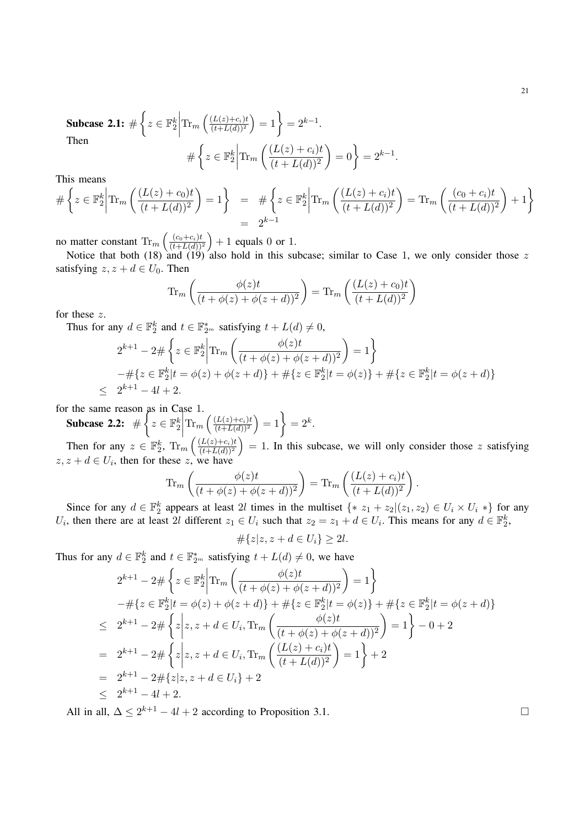**Subcase 2.1:** 
$$
\#\left\{z \in \mathbb{F}_2^k \middle| \text{Tr}_m\left(\frac{(L(z) + c_i)t}{(t + L(d))^2}\right) = 1\right\} = 2^{k-1}.
$$
  
Then  

$$
\#\left\{z \in \mathbb{F}_2^k \middle| \text{Tr}_m\left(\frac{(L(z) + c_i)t}{(t + L(d))^2}\right) = 0\right\} = 2^{k-1}.
$$

This means

$$
\#\left\{z \in \mathbb{F}_2^k \middle| \text{Tr}_m\left(\frac{(L(z) + c_0)t}{(t + L(d))^2}\right) = 1\right\} = \#\left\{z \in \mathbb{F}_2^k \middle| \text{Tr}_m\left(\frac{(L(z) + c_i)t}{(t + L(d))^2}\right) = \text{Tr}_m\left(\frac{(c_0 + c_i)t}{(t + L(d))^2}\right) + 1\right\}
$$

no matter constant  $\text{Tr}_m\left(\frac{(c_0+c_i)t}{(t+L(d))}\right)$  $\frac{(c_0+c_i)t}{(t+L(d))^2}$  + 1 equals 0 or 1.

Notice that both (18) and (19) also hold in this subcase; similar to Case 1, we only consider those  $z$ satisfying  $z, z + d \in U_0$ . Then

$$
\operatorname{Tr}_m\left(\frac{\phi(z)t}{(t+\phi(z)+\phi(z+d))^2}\right) = \operatorname{Tr}_m\left(\frac{(L(z)+c_0)t}{(t+L(d))^2}\right)
$$

for these z.

Thus for any  $d \in \mathbb{F}_2^k$  and  $t \in \mathbb{F}_{2^m}^*$  satisfying  $t + L(d) \neq 0$ ,

$$
2^{k+1} - 2 \# \left\{ z \in \mathbb{F}_2^k \middle| \text{Tr}_m \left( \frac{\phi(z)t}{(t + \phi(z) + \phi(z+d))^2} \right) = 1 \right\}
$$
  
 
$$
- \# \{ z \in \mathbb{F}_2^k | t = \phi(z) + \phi(z+d) \} + \# \{ z \in \mathbb{F}_2^k | t = \phi(z) \} + \# \{ z \in \mathbb{F}_2^k | t = \phi(z+d) \}
$$
  
 
$$
\leq 2^{k+1} - 4l + 2.
$$

for the same reason as in Case 1.

Subcase 2.2:  $\#\left\{z \in \mathbb{F}_2^k\right\}$   $\text{Tr}_m\left(\frac{(L(z)+c_i)t}{(t+L(d))^2}\right)$  $\frac{(L(z)+c_i)t}{(t+L(d))^2}$  = 1 = 2<sup>k</sup>.

Then for any  $z \in \mathbb{F}_2^k$ ,  $\text{Tr}_m \left( \frac{(L(z)+c_i)t}{(t+L(d))^2} \right)$  $\left(\frac{(L(z)+c_i)t}{(t+L(d))^2}\right) = 1$ . In this subcase, we will only consider those z satisfying  $z, z + d \in U_i$ , then for these z, we have

$$
\operatorname{Tr}_m\left(\frac{\phi(z)t}{(t+\phi(z)+\phi(z+d))^2}\right) = \operatorname{Tr}_m\left(\frac{(L(z)+c_i)t}{(t+L(d))^2}\right).
$$

Since for any  $d \in \mathbb{F}_2^k$  appears at least 2l times in the multiset  $\{* z_1 + z_2 | (z_1, z_2) \in U_i \times U_i * \}$  for any  $U_i$ , then there are at least 2l different  $z_1 \in U_i$  such that  $z_2 = z_1 + d \in U_i$ . This means for any  $d \in \mathbb{F}_2^k$ ,

 $\#\{z|z, z + d \in U_i\} \geq 2l.$ 

Thus for any  $d \in \mathbb{F}_2^k$  and  $t \in \mathbb{F}_{2^m}^*$  satisfying  $t + L(d) \neq 0$ , we have

$$
2^{k+1} - 2 \# \left\{ z \in \mathbb{F}_2^k \middle| \text{Tr}_m \left( \frac{\phi(z)t}{(t + \phi(z) + \phi(z+d))^2} \right) = 1 \right\}
$$
  
\n
$$
- \# \{ z \in \mathbb{F}_2^k | t = \phi(z) + \phi(z+d) \} + \# \{ z \in \mathbb{F}_2^k | t = \phi(z) \} + \# \{ z \in \mathbb{F}_2^k | t = \phi(z+d) \}
$$
  
\n
$$
\leq 2^{k+1} - 2 \# \left\{ z \middle| z, z+d \in U_i, \text{Tr}_m \left( \frac{\phi(z)t}{(t + \phi(z) + \phi(z+d))^2} \right) = 1 \right\} - 0 + 2
$$
  
\n
$$
= 2^{k+1} - 2 \# \left\{ z \middle| z, z+d \in U_i, \text{Tr}_m \left( \frac{(L(z) + c_i)t}{(t + L(d))^2} \right) = 1 \right\} + 2
$$
  
\n
$$
= 2^{k+1} - 2 \# \{ z | z, z+d \in U_i \} + 2
$$
  
\n
$$
\leq 2^{k+1} - 4l + 2.
$$

All in all,  $\Delta \leq 2^{k+1} - 4l + 2$  according to Proposition 3.1.